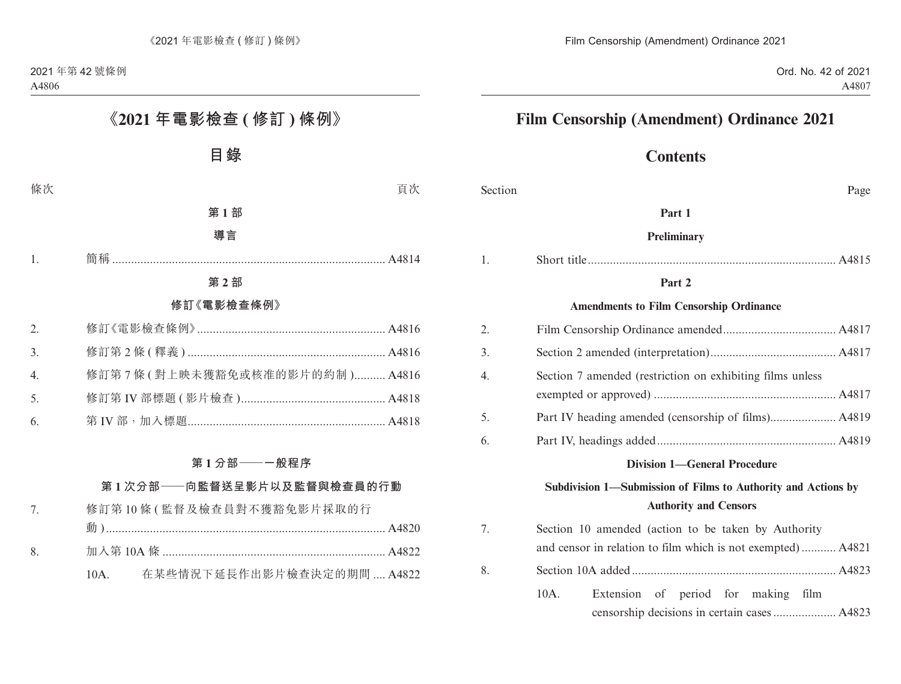# **Contents**

| Section | Page                                                                                                               |
|---------|--------------------------------------------------------------------------------------------------------------------|
|         | Part 1                                                                                                             |
|         | Preliminary                                                                                                        |
| 1.      |                                                                                                                    |
|         | Part 2                                                                                                             |
|         | <b>Amendments to Film Censorship Ordinance</b>                                                                     |
| 2.      |                                                                                                                    |
| 3.      |                                                                                                                    |
| 4.      | Section 7 amended (restriction on exhibiting films unless                                                          |
| 5.      |                                                                                                                    |
| 6.      |                                                                                                                    |
|         | <b>Division 1-General Procedure</b>                                                                                |
|         | Subdivision 1-Submission of Films to Authority and Actions by<br><b>Authority and Censors</b>                      |
| 7.      | Section 10 amended (action to be taken by Authority<br>and censor in relation to film which is not exempted) A4821 |
| 8.      |                                                                                                                    |
|         | $10A$ .<br>Extension of period for making film                                                                     |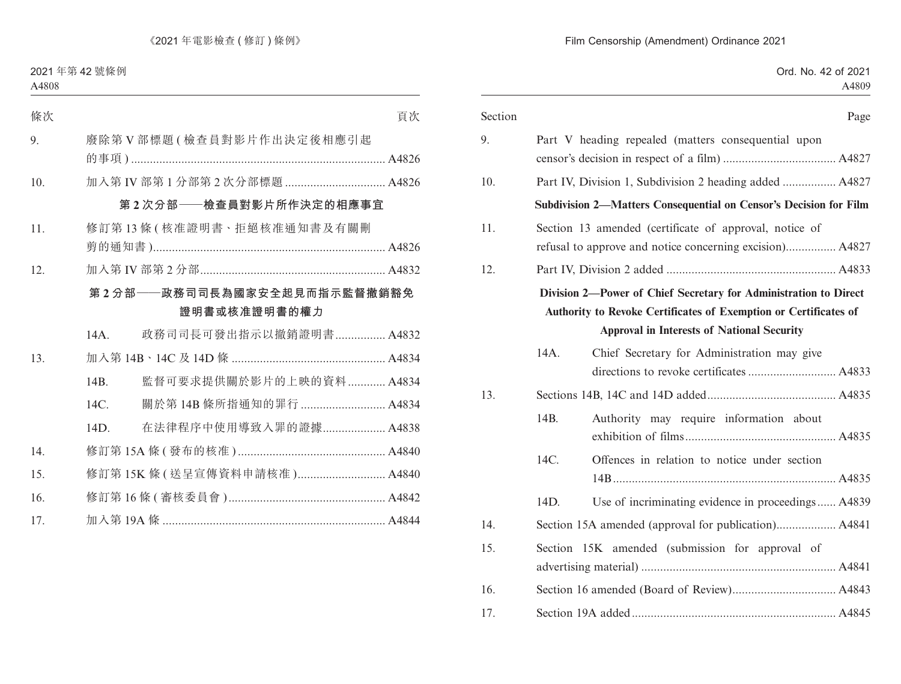| Section |                                                                                                                                                                                           | Page |
|---------|-------------------------------------------------------------------------------------------------------------------------------------------------------------------------------------------|------|
| 9.      | Part V heading repealed (matters consequential upon                                                                                                                                       |      |
| 10.     | Part IV, Division 1, Subdivision 2 heading added  A4827                                                                                                                                   |      |
|         | <b>Subdivision 2-Matters Consequential on Censor's Decision for Film</b>                                                                                                                  |      |
| 11.     | Section 13 amended (certificate of approval, notice of<br>refusal to approve and notice concerning excision) A4827                                                                        |      |
| 12.     |                                                                                                                                                                                           |      |
|         | Division 2—Power of Chief Secretary for Administration to Direct<br>Authority to Revoke Certificates of Exemption or Certificates of<br><b>Approval in Interests of National Security</b> |      |
| 14A.    | Chief Secretary for Administration may give                                                                                                                                               |      |
| 13.     |                                                                                                                                                                                           |      |
| 14B.    | Authority may require information about                                                                                                                                                   |      |
| 14C.    | Offences in relation to notice under section                                                                                                                                              |      |
| 14D.    | Use of incriminating evidence in proceedings A4839                                                                                                                                        |      |
| 14.     |                                                                                                                                                                                           |      |
| 15.     | Section 15K amended (submission for approval of                                                                                                                                           |      |
| 16.     |                                                                                                                                                                                           |      |
| 17.     |                                                                                                                                                                                           |      |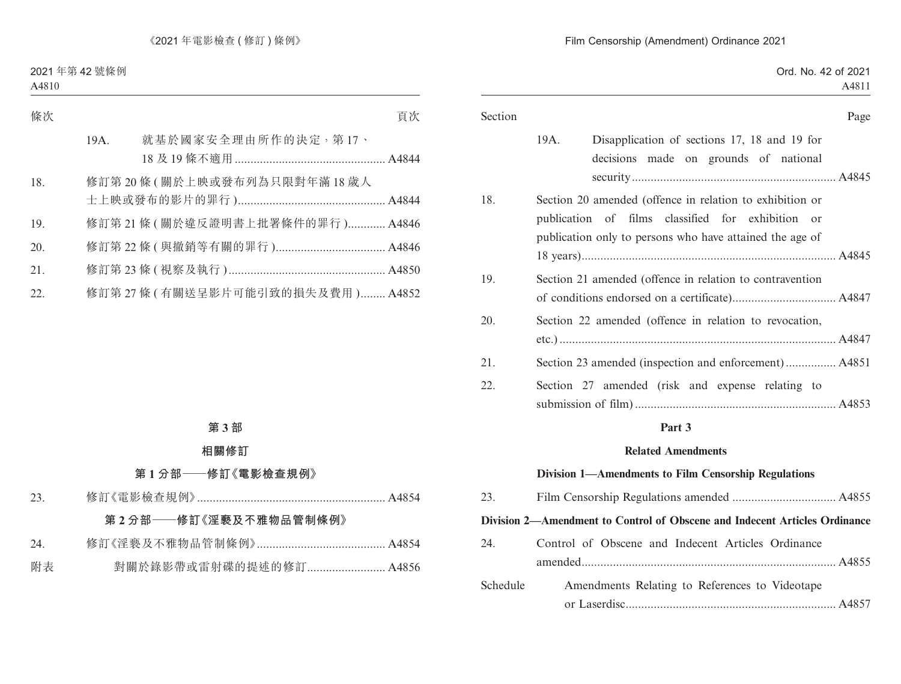|      | Page                                                                                                                                                                      |
|------|---------------------------------------------------------------------------------------------------------------------------------------------------------------------------|
| 19A. | Disapplication of sections 17, 18 and 19 for<br>decisions made on grounds of national                                                                                     |
|      | Section 20 amended (offence in relation to exhibition or<br>publication of films classified for exhibition or<br>publication only to persons who have attained the age of |
|      |                                                                                                                                                                           |
|      | Section 21 amended (offence in relation to contravention                                                                                                                  |
|      |                                                                                                                                                                           |
|      | Section 22 amended (offence in relation to revocation,                                                                                                                    |
|      |                                                                                                                                                                           |
|      | Section 23 amended (inspection and enforcement) A4851                                                                                                                     |
|      | Section 27 amended (risk and expense relating to                                                                                                                          |

#### **Part 3**

#### **Related Amendments**

#### **Division 1—Amendments to Film Censorship Regulations**

| 23.      |                                                                            |
|----------|----------------------------------------------------------------------------|
|          | Division 2—Amendment to Control of Obscene and Indecent Articles Ordinance |
| 24.      | Control of Obscene and Indecent Articles Ordinance                         |
|          |                                                                            |
| Schedule | Amendments Relating to References to Videotape                             |

or Laserdisc................................................................... A4857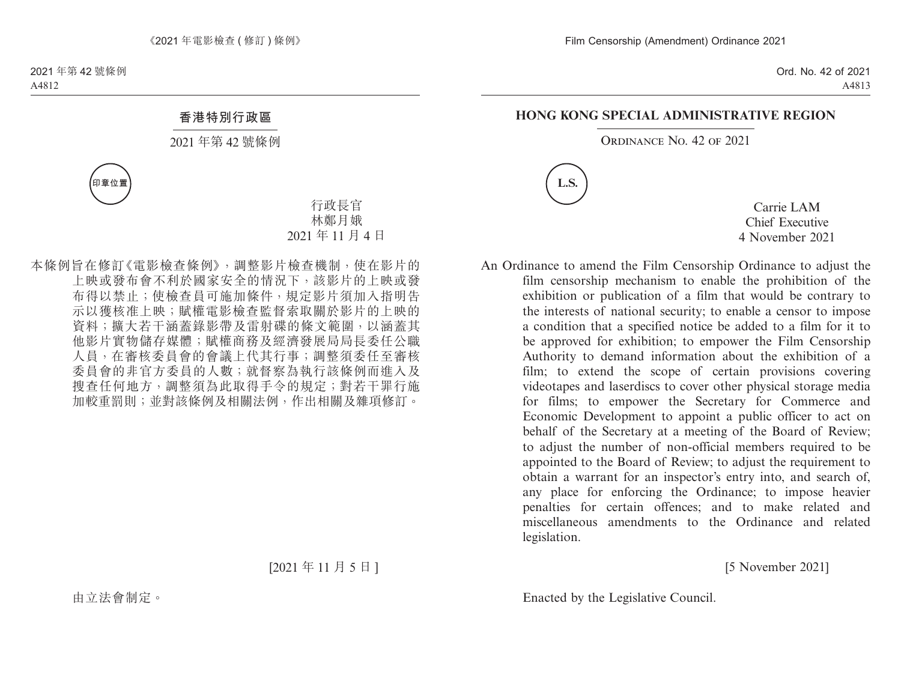#### **HONG KONG SPECIAL ADMINISTRATIVE REGION**

ORDINANCE NO. 42 OF 2021



Carrie LAM Chief Executive 4 November 2021

An Ordinance to amend the Film Censorship Ordinance to adjust the film censorship mechanism to enable the prohibition of the exhibition or publication of a film that would be contrary to the interests of national security; to enable a censor to impose a condition that a specified notice be added to a film for it to be approved for exhibition; to empower the Film Censorship Authority to demand information about the exhibition of a film; to extend the scope of certain provisions covering videotapes and laserdiscs to cover other physical storage media for films; to empower the Secretary for Commerce and Economic Development to appoint a public officer to act on behalf of the Secretary at a meeting of the Board of Review; to adjust the number of non-official members required to be appointed to the Board of Review; to adjust the requirement to obtain a warrant for an inspector's entry into, and search of, any place for enforcing the Ordinance; to impose heavier penalties for certain offences; and to make related and miscellaneous amendments to the Ordinance and related legislation.

[5 November 2021]

Enacted by the Legislative Council.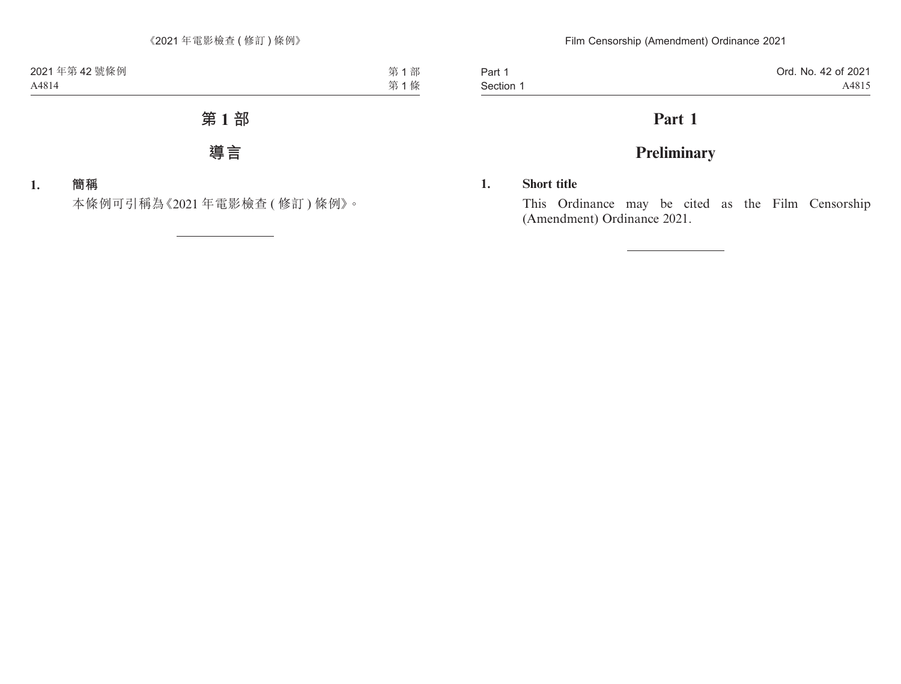Part 1 Section 1

# **Part 1**

# **Preliminary**

### **1. Short title**

This Ordinance may be cited as the Film Censorship (Amendment) Ordinance 2021.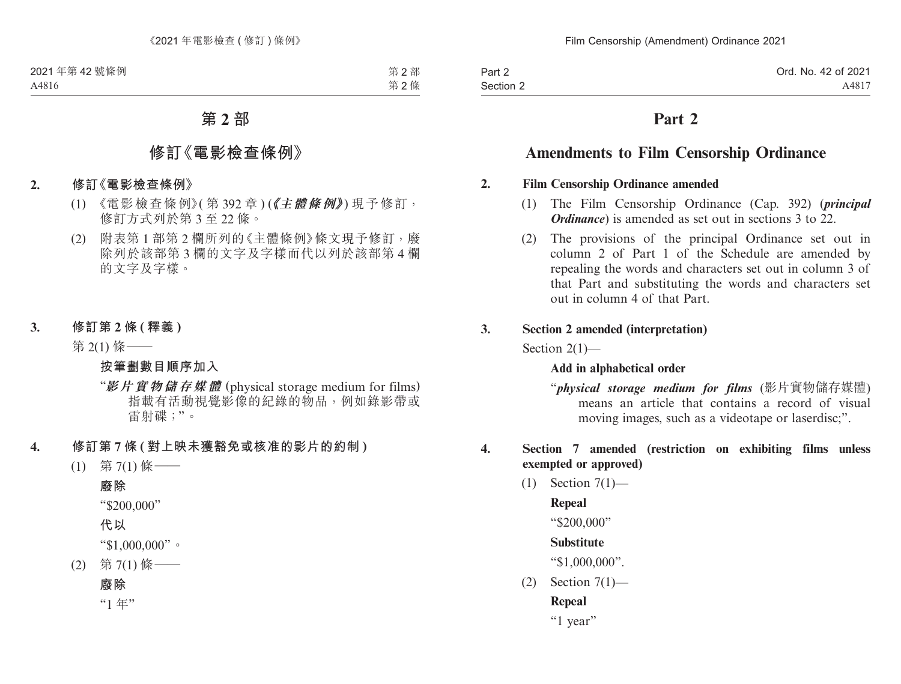# **Part 2**

# **Amendments to Film Censorship Ordinance**

#### **2. Film Censorship Ordinance amended**

- (1) The Film Censorship Ordinance (Cap. 392) (*principal Ordinance*) is amended as set out in sections 3 to 22.
- (2) The provisions of the principal Ordinance set out in column 2 of Part 1 of the Schedule are amended by repealing the words and characters set out in column 3 of that Part and substituting the words and characters set out in column 4 of that Part.

#### **3. Section 2 amended (interpretation)**

Section 2(1)—

#### **Add in alphabetical order**

"*physical storage medium for films* (影片實物儲存媒體) means an article that contains a record of visual moving images, such as a videotape or laserdisc;".

#### **4. Section 7 amended (restriction on exhibiting films unless exempted or approved)**

(1) Section 7(1)—

#### **Repeal**

"\$200,000"

## **Substitute**

"\$1,000,000".

 $(2)$  Section  $7(1)$ —

## **Repeal**

"1 year"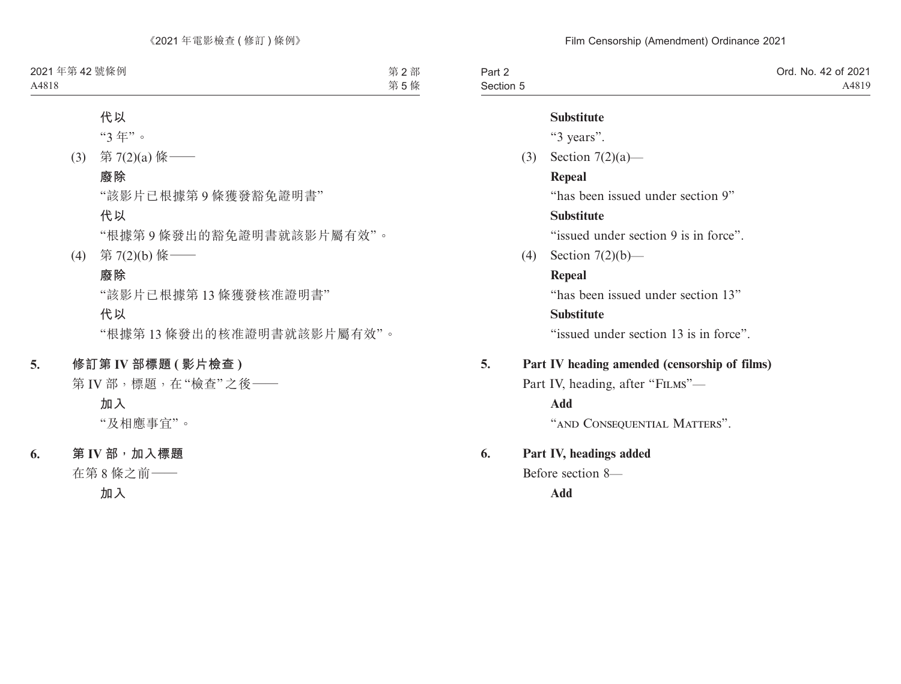| Part 2    | Ord. No. 42 of 2021 |
|-----------|---------------------|
| Section 5 | A4819               |

#### **Substitute**

"3 years".

(3) Section 7(2)(a)—

#### **Repeal**

"has been issued under section 9"

### **Substitute**

"issued under section 9 is in force".

(4) Section 7(2)(b)—

### **Repeal**

"has been issued under section 13"

#### **Substitute**

"issued under section 13 is in force".

## **5. Part IV heading amended (censorship of films)**

Part IV, heading, after "FILMS"—

**Add**

"AND CONSEQUENTIAL MATTERS".

## **6. Part IV, headings added**

Before section 8—

**Add**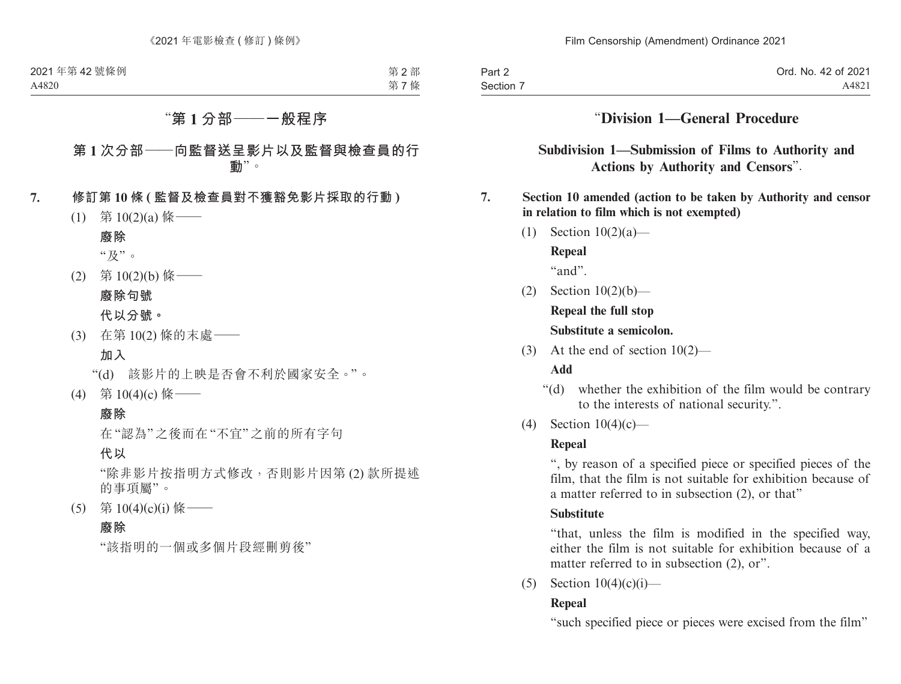| Part 2    | Ord. No. 42 of 2021 |
|-----------|---------------------|
| Section 7 | A4821               |

## "**Division 1—General Procedure**

**Subdivision 1—Submission of Films to Authority and Actions by Authority and Censors**".

#### **7. Section 10 amended (action to be taken by Authority and censor in relation to film which is not exempted)**

- (1) Section 10(2)(a)— **Repeal** "and".
- (2) Section 10(2)(b)—

**Repeal the full stop Substitute a semicolon.**

(3) At the end of section 10(2)—

### **Add**

- "(d) whether the exhibition of the film would be contrary to the interests of national security.".
- (4) Section 10(4)(c)—

### **Repeal**

", by reason of a specified piece or specified pieces of the film, that the film is not suitable for exhibition because of a matter referred to in subsection (2), or that"

### **Substitute**

"that, unless the film is modified in the specified way, either the film is not suitable for exhibition because of a matter referred to in subsection  $(2)$ , or".

(5) Section  $10(4)(c)(i)$ —

## **Repeal**

"such specified piece or pieces were excised from the film"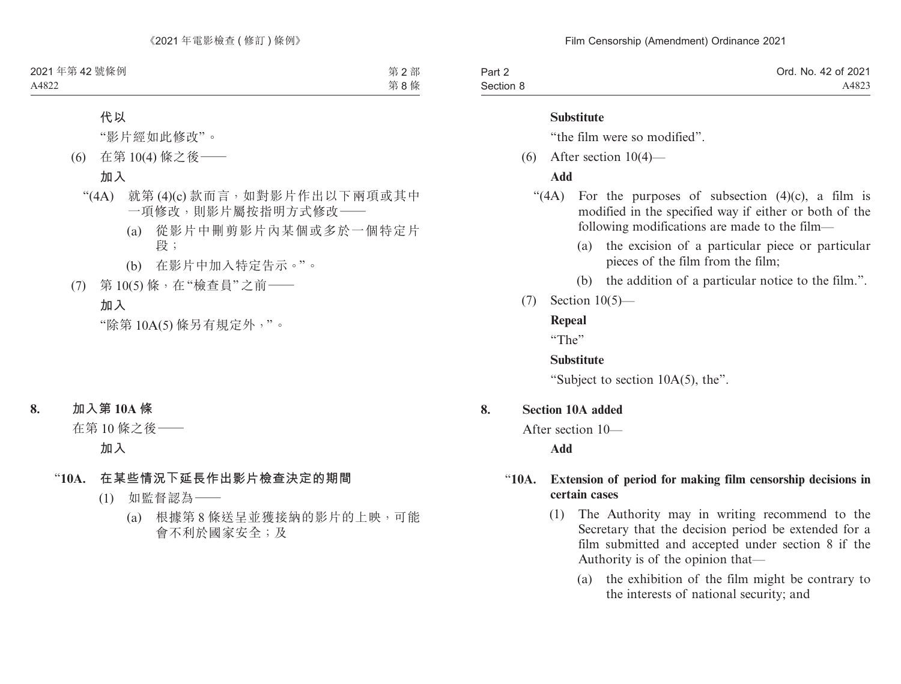| Part 2    | Ord. No. 42 of 2021 |
|-----------|---------------------|
| Section 8 | A4823               |

#### **Substitute**

"the film were so modified".

 $(6)$  After section  $10(4)$ —

#### **Add**

- "(4A) For the purposes of subsection  $(4)(c)$ , a film is modified in the specified way if either or both of the following modifications are made to the film—
	- (a) the excision of a particular piece or particular pieces of the film from the film;
	- (b) the addition of a particular notice to the film.".
- (7) Section 10(5)—

#### **Repeal**

"The"

#### **Substitute**

"Subject to section 10A(5), the".

#### **8. Section 10A added**

After section 10—

**Add**

## "**10A. Extension of period for making film censorship decisions in certain cases**

- (1) The Authority may in writing recommend to the Secretary that the decision period be extended for a film submitted and accepted under section 8 if the Authority is of the opinion that—
	- (a) the exhibition of the film might be contrary to the interests of national security; and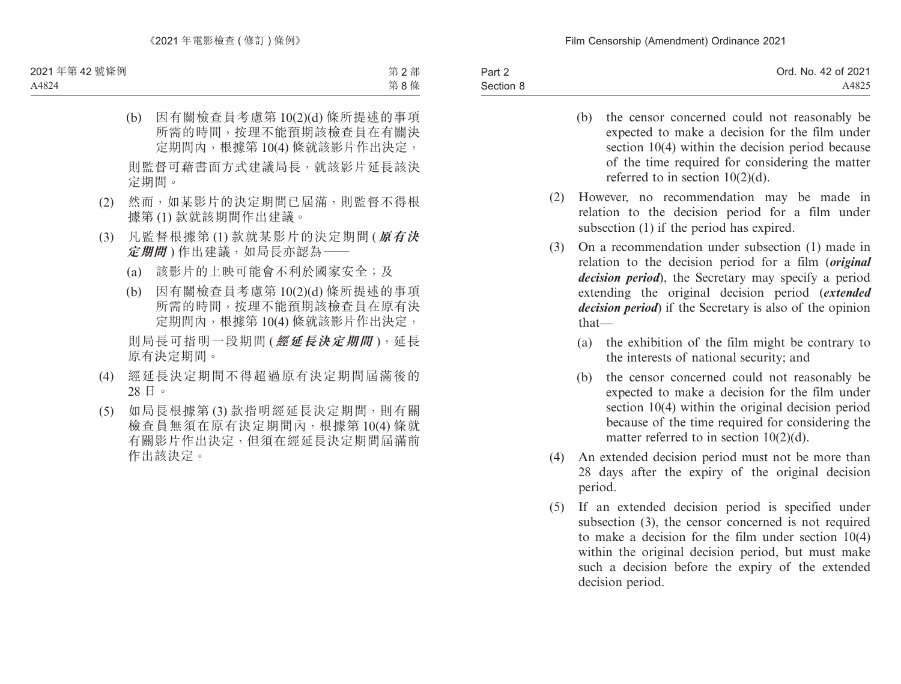| Part 2    | Ord. No. 42 of 2021 |
|-----------|---------------------|
| Section 8 | A4825               |
|           |                     |

- (b) the censor concerned could not reasonably be expected to make a decision for the film under section 10(4) within the decision period because of the time required for considering the matter referred to in section 10(2)(d).
- (2) However, no recommendation may be made in relation to the decision period for a film under subsection (1) if the period has expired.
- (3) On a recommendation under subsection (1) made in relation to the decision period for a film (*original decision period*), the Secretary may specify a period extending the original decision period (*extended decision period*) if the Secretary is also of the opinion that—
	- (a) the exhibition of the film might be contrary to the interests of national security; and
	- (b) the censor concerned could not reasonably be expected to make a decision for the film under section 10(4) within the original decision period because of the time required for considering the matter referred to in section 10(2)(d).
- (4) An extended decision period must not be more than 28 days after the expiry of the original decision period.
- (5) If an extended decision period is specified under subsection (3), the censor concerned is not required to make a decision for the film under section 10(4) within the original decision period, but must make such a decision before the expiry of the extended decision period.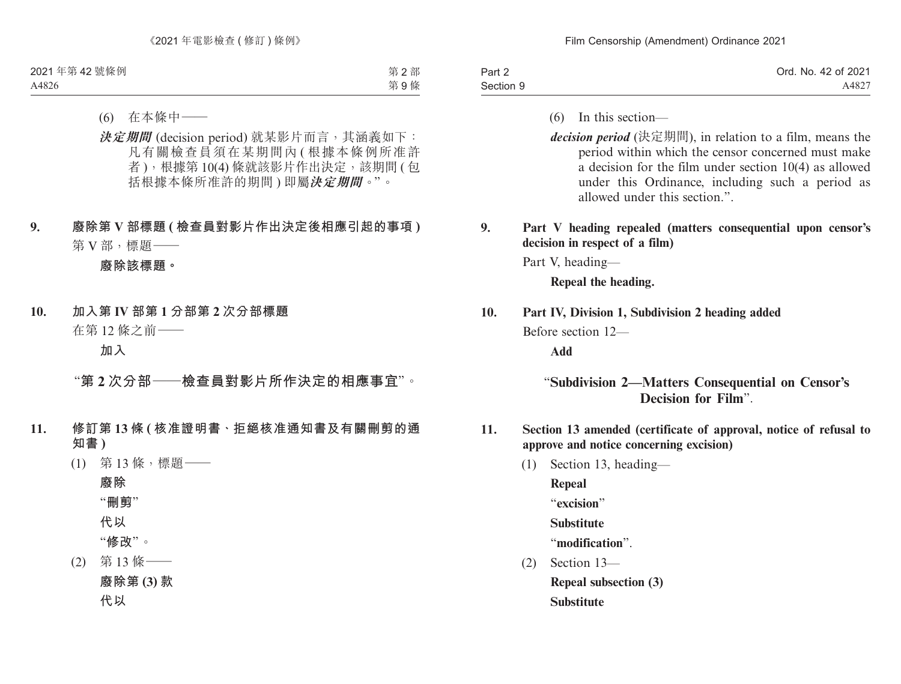| Part 2    | Ord. No. 42 of 2021 |
|-----------|---------------------|
| Section 9 | A4827               |

- (6) In this section—
- *decision period* (決定期間), in relation to a film, means the period within which the censor concerned must make a decision for the film under section 10(4) as allowed under this Ordinance, including such a period as allowed under this section."

#### **9. Part V heading repealed (matters consequential upon censor's decision in respect of a film)**

Part V, heading—

**Repeal the heading.**

#### **10. Part IV, Division 1, Subdivision 2 heading added**

Before section 12—

**Add**

## "**Subdivision 2—Matters Consequential on Censor's Decision for Film**".

- **11. Section 13 amended (certificate of approval, notice of refusal to approve and notice concerning excision)**
	- (1) Section 13, heading—

**Repeal** "**excision**" **Substitute**

"**modification**".

(2) Section 13—

**Repeal subsection (3)**

**Substitute**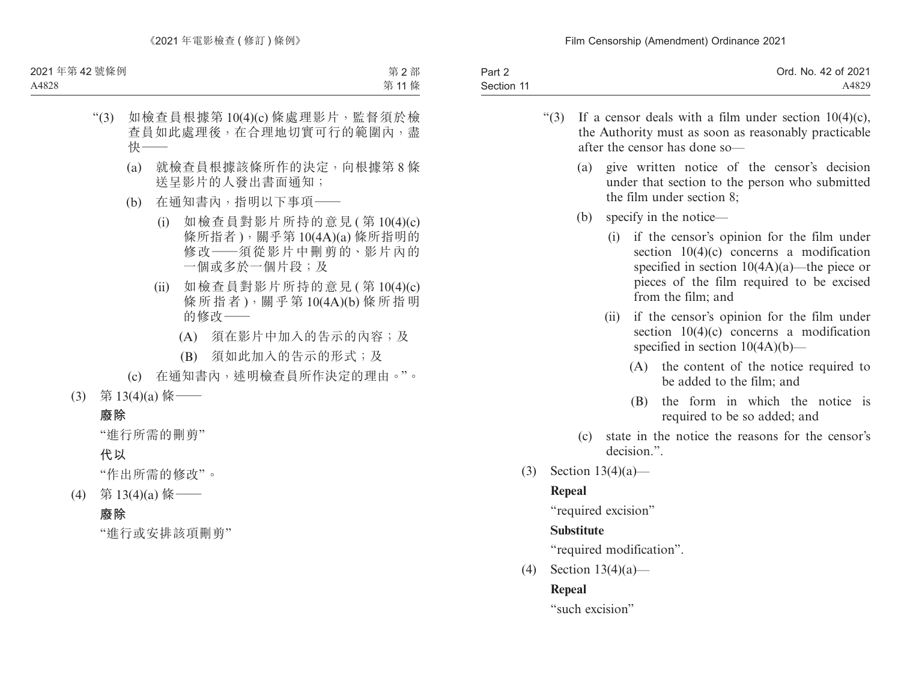| Part 2     | Ord. No. 42 of 2021 |
|------------|---------------------|
| Section 11 | A4829               |

- "(3) If a censor deals with a film under section  $10(4)(c)$ , the Authority must as soon as reasonably practicable after the censor has done so—
	- (a) give written notice of the censor's decision under that section to the person who submitted the film under section 8;
	- (b) specify in the notice—
		- (i) if the censor's opinion for the film under section 10(4)(c) concerns a modification specified in section  $10(4A)(a)$ —the piece or pieces of the film required to be excised from the film; and
		- (ii) if the censor's opinion for the film under section 10(4)(c) concerns a modification specified in section  $10(4A)(b)$ —
			- (A) the content of the notice required to be added to the film; and
			- (B) the form in which the notice is required to be so added; and
	- (c) state in the notice the reasons for the censor's decision."
- (3) Section 13(4)(a)—

## **Repeal**

"required excision"

## **Substitute**

"required modification".

(4) Section  $13(4)(a)$ —

## **Repeal**

"such excision"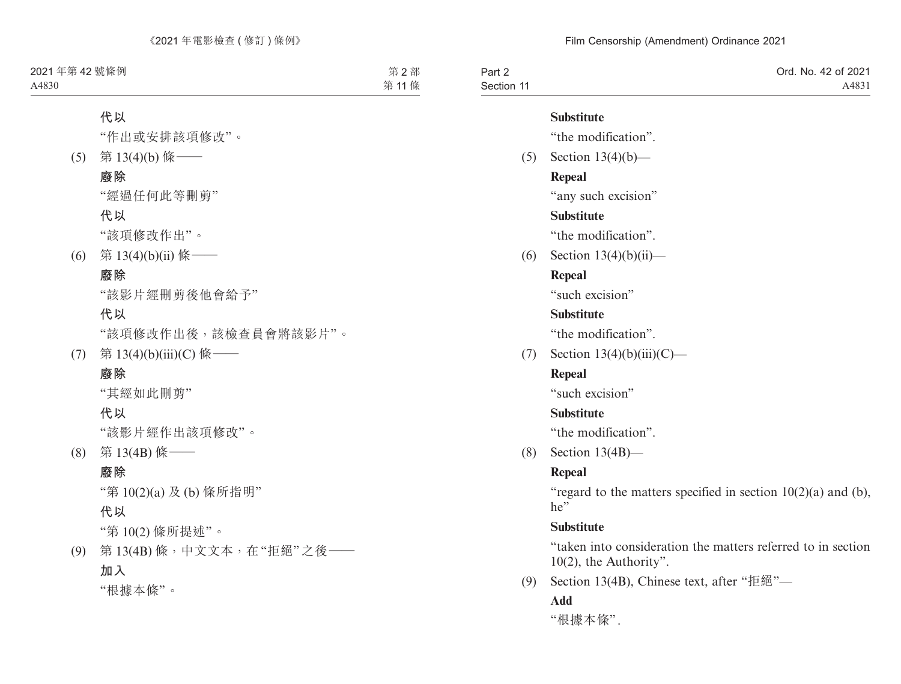| Part 2     | Ord. No. 42 of 2021 |
|------------|---------------------|
| Section 11 | A4831               |

#### **Substitute**

"the modification".

(5) Section 13(4)(b)— **Repeal** "any such excision" **Substitute**

"the modification".

(6) Section 13(4)(b)(ii)—

## **Repeal**

"such excision"

### **Substitute**

"the modification".

(7) Section  $13(4)(b)(iii)(C)$ —

## **Repeal**

"such excision"

### **Substitute**

"the modification".

(8) Section 13(4B)—

## **Repeal**

"regard to the matters specified in section  $10(2)(a)$  and (b),  $he''$ 

## **Substitute**

"taken into consideration the matters referred to in section 10(2), the Authority".

(9) Section 13(4B), Chinese text, after "拒絕"—

## **Add**

"根據本條".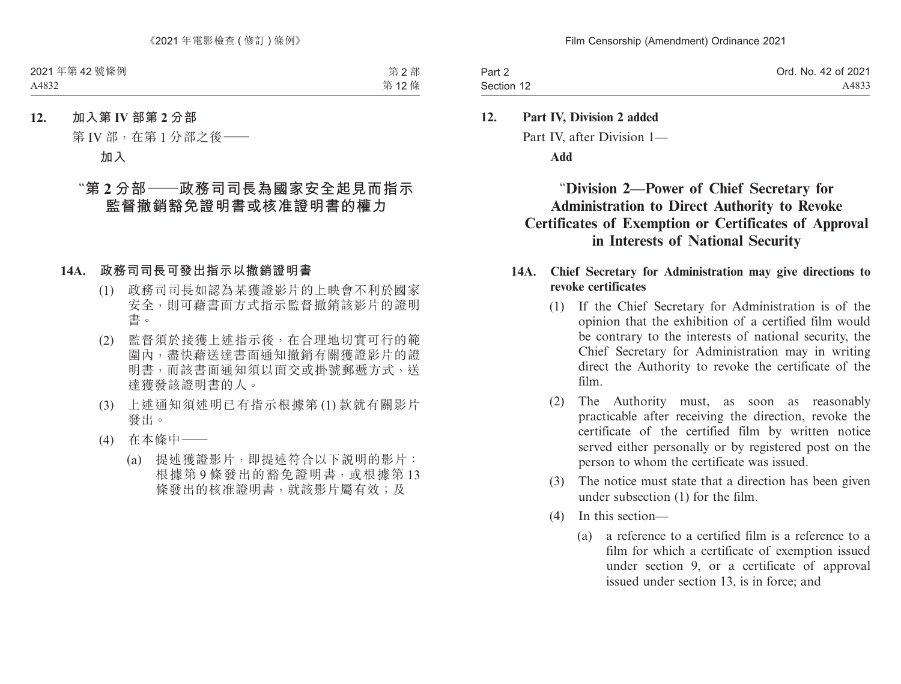| Part 2     | Ord. No. 42 of 2021 |
|------------|---------------------|
| Section 12 | A4833               |

## **12. Part IV, Division 2 added** Part IV, after Division 1— **Add**

## "**Division 2—Power of Chief Secretary for Administration to Direct Authority to Revoke Certificates of Exemption or Certificates of Approval in Interests of National Security**

#### **14A. Chief Secretary for Administration may give directions to revoke certificates**

- (1) If the Chief Secretary for Administration is of the opinion that the exhibition of a certified film would be contrary to the interests of national security, the Chief Secretary for Administration may in writing direct the Authority to revoke the certificate of the film.
- (2) The Authority must, as soon as reasonably practicable after receiving the direction, revoke the certificate of the certified film by written notice served either personally or by registered post on the person to whom the certificate was issued.
- (3) The notice must state that a direction has been given under subsection (1) for the film.
- (4) In this section—
	- (a) a reference to a certified film is a reference to a film for which a certificate of exemption issued under section 9, or a certificate of approval issued under section 13, is in force; and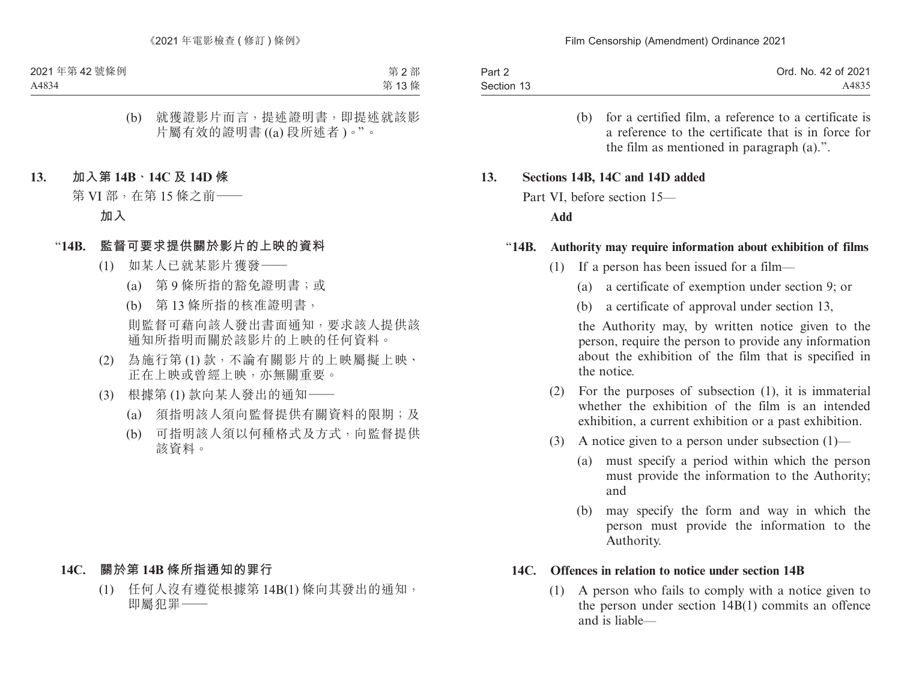| Part 2     | Ord. No. 42 of 2021 |
|------------|---------------------|
| Section 13 | A4835               |

(b) for a certified film, a reference to a certificate is a reference to the certificate that is in force for the film as mentioned in paragraph (a).".

#### **13. Sections 14B, 14C and 14D added**

Part VI, before section 15—

#### **Add**

#### "**14B. Authority may require information about exhibition of films**

- (1) If a person has been issued for a film—
	- (a) a certificate of exemption under section 9; or
	- (b) a certificate of approval under section 13,

the Authority may, by written notice given to the person, require the person to provide any information about the exhibition of the film that is specified in the notice.

- (2) For the purposes of subsection (1), it is immaterial whether the exhibition of the film is an intended exhibition, a current exhibition or a past exhibition.
- (3) A notice given to a person under subsection  $(1)$ 
	- (a) must specify a period within which the person must provide the information to the Authority; and
	- (b) may specify the form and way in which the person must provide the information to the Authority.

#### **14C. Offences in relation to notice under section 14B**

(1) A person who fails to comply with a notice given to the person under section 14B(1) commits an offence and is liable—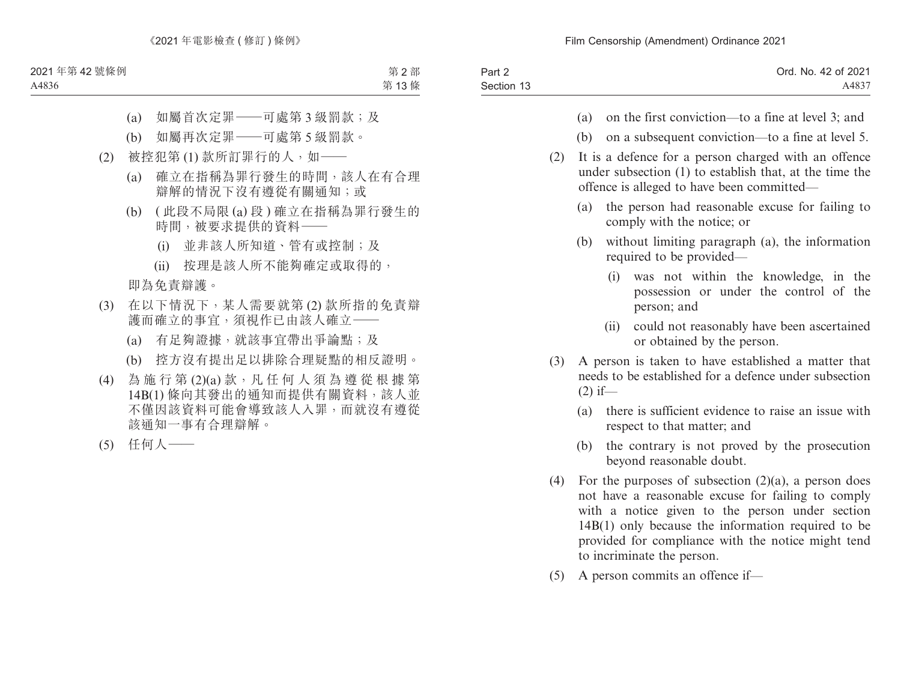| Part 2     | Ord. No. 42 of 2021 |
|------------|---------------------|
| Section 13 | A4837               |

- (a) on the first conviction—to a fine at level 3; and
- (b) on a subsequent conviction—to a fine at level 5.
- (2) It is a defence for a person charged with an offence under subsection (1) to establish that, at the time the offence is alleged to have been committed—
	- (a) the person had reasonable excuse for failing to comply with the notice; or
	- (b) without limiting paragraph (a), the information required to be provided—
		- (i) was not within the knowledge, in the possession or under the control of the person; and
		- (ii) could not reasonably have been ascertained or obtained by the person.
- (3) A person is taken to have established a matter that needs to be established for a defence under subsection  $(2)$  if—
	- (a) there is sufficient evidence to raise an issue with respect to that matter; and
	- (b) the contrary is not proved by the prosecution beyond reasonable doubt.
- (4) For the purposes of subsection  $(2)(a)$ , a person does not have a reasonable excuse for failing to comply with a notice given to the person under section 14B(1) only because the information required to be provided for compliance with the notice might tend to incriminate the person.
- (5) A person commits an offence if—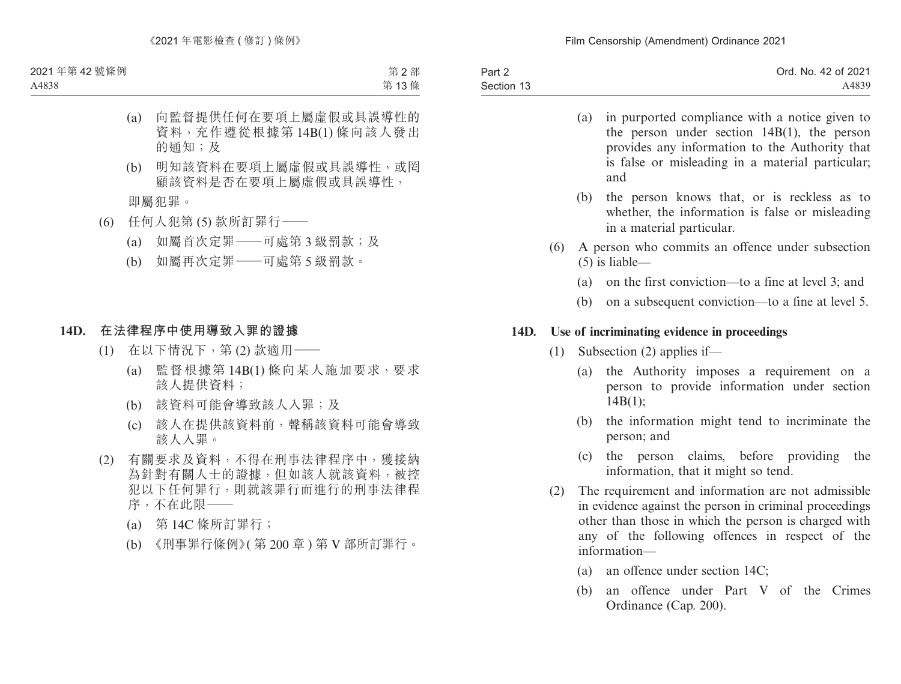| Part 2     | Ord. No. 42 of 2021 |
|------------|---------------------|
| Section 13 | A4839               |

- (a) in purported compliance with a notice given to the person under section 14B(1), the person provides any information to the Authority that is false or misleading in a material particular; and
- (b) the person knows that, or is reckless as to whether, the information is false or misleading in a material particular.
- (6) A person who commits an offence under subsection (5) is liable—
	- (a) on the first conviction—to a fine at level 3; and
	- (b) on a subsequent conviction—to a fine at level 5.

#### **14D. Use of incriminating evidence in proceedings**

- (1) Subsection (2) applies if—
	- (a) the Authority imposes a requirement on a person to provide information under section  $14B(1);$
	- (b) the information might tend to incriminate the person; and
	- (c) the person claims, before providing the information, that it might so tend.
- (2) The requirement and information are not admissible in evidence against the person in criminal proceedings other than those in which the person is charged with any of the following offences in respect of the information—
	- (a) an offence under section 14C;
	- (b) an offence under Part V of the Crimes Ordinance (Cap. 200).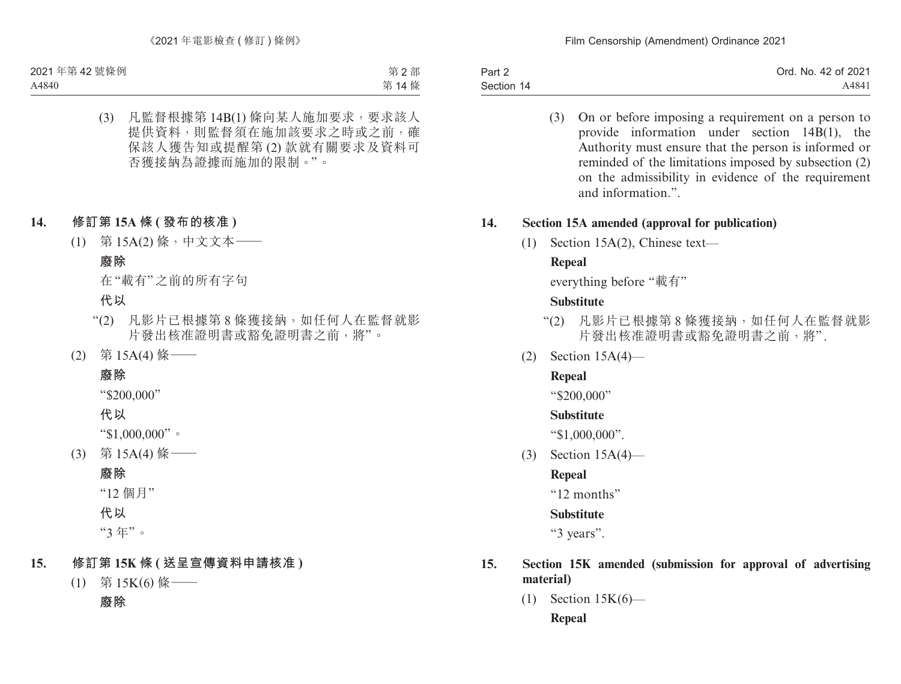Part 2 Section 14 Ord. No. 42 of 2021 A4841

> (3) On or before imposing a requirement on a person to provide information under section 14B(1), the Authority must ensure that the person is informed or reminded of the limitations imposed by subsection (2) on the admissibility in evidence of the requirement and information.".

#### **14. Section 15A amended (approval for publication)**

(1) Section 15A(2), Chinese text—

## **Repeal**

everything before "載有"

### **Substitute**

- "(2) 凡影片已根據第 8 條獲接納,如任何人在監督就影 片發出核准證明書或豁免證明書之前,將".
- (2) Section 15A(4)—

## **Repeal**

"\$200,000"

### **Substitute**

"\$1,000,000".

(3) Section 15A(4)—

## **Repeal**

"12 months"

## **Substitute**

"3 years".

### **15. Section 15K amended (submission for approval of advertising material)**

(1) Section 15K(6)— **Repeal**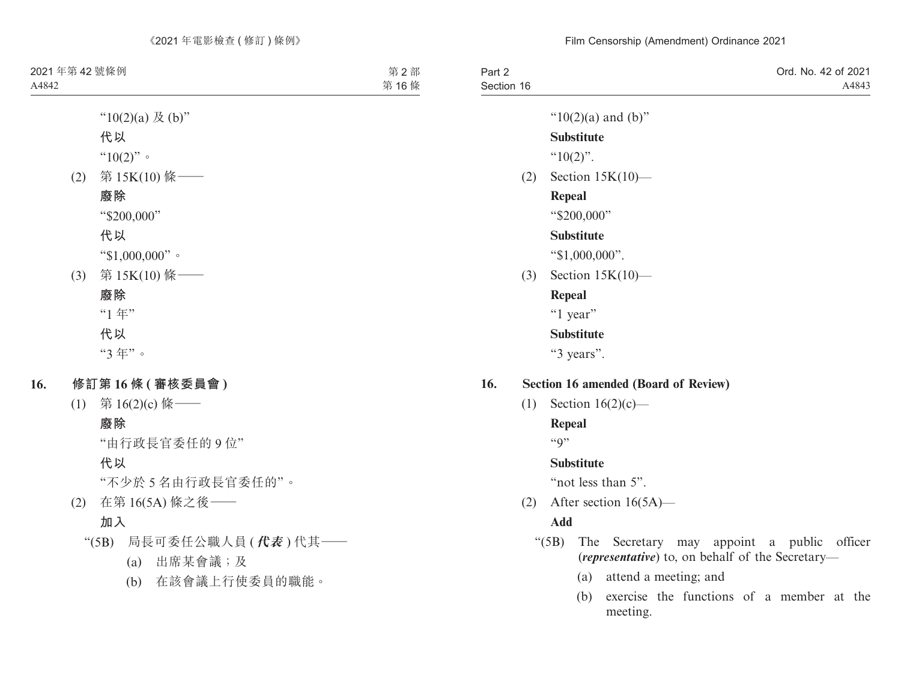| Part 2     | Ord. No. 42 of 2021 |
|------------|---------------------|
| Section 16 | A4843               |
|            |                     |

" $10(2)(a)$  and  $(b)$ "

#### **Substitute**

 $^{64}10(2)$ ".

(2) Section 15K(10)—

#### **Repeal**

"\$200,000"

#### **Substitute**

"\$1,000,000".

(3) Section 15K(10)—

#### **Repeal**

"1 year"

#### **Substitute**

"3 years".

- **16. Section 16 amended (Board of Review)**
	- (1) Section  $16(2)(c)$ —

**Repeal**

 $``Q"$ 

#### **Substitute**

"not less than 5".

(2) After section 16(5A)—

### **Add**

- "(5B) The Secretary may appoint a public officer (*representative*) to, on behalf of the Secretary—
	- (a) attend a meeting; and
	- (b) exercise the functions of a member at the meeting.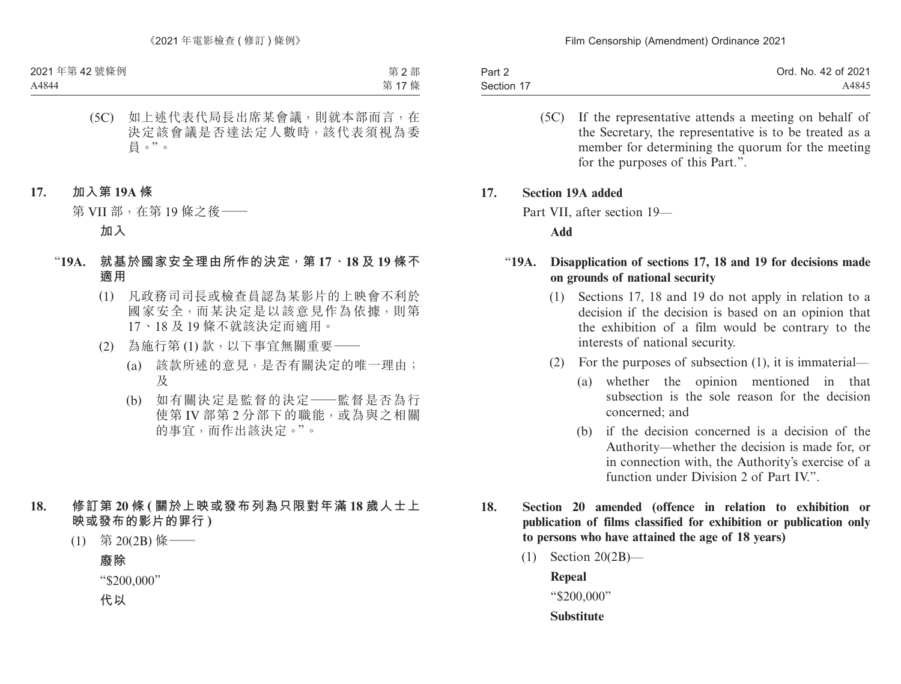| Part 2     | Ord. No. 42 of 2021 |
|------------|---------------------|
| Section 17 | A4845               |

(5C) If the representative attends a meeting on behalf of the Secretary, the representative is to be treated as a member for determining the quorum for the meeting for the purposes of this Part.".

#### **17. Section 19A added**

Part VII, after section 19—

**Add**

#### "**19A. Disapplication of sections 17, 18 and 19 for decisions made on grounds of national security**

- (1) Sections 17, 18 and 19 do not apply in relation to a decision if the decision is based on an opinion that the exhibition of a film would be contrary to the interests of national security.
- (2) For the purposes of subsection (1), it is immaterial—
	- (a) whether the opinion mentioned in that subsection is the sole reason for the decision concerned; and
	- (b) if the decision concerned is a decision of the Authority—whether the decision is made for, or in connection with, the Authority's exercise of a function under Division 2 of Part IV".
- **18. Section 20 amended (offence in relation to exhibition or publication of films classified for exhibition or publication only to persons who have attained the age of 18 years)**
	- (1) Section 20(2B)—

**Repeal** "\$200,000"

**Substitute**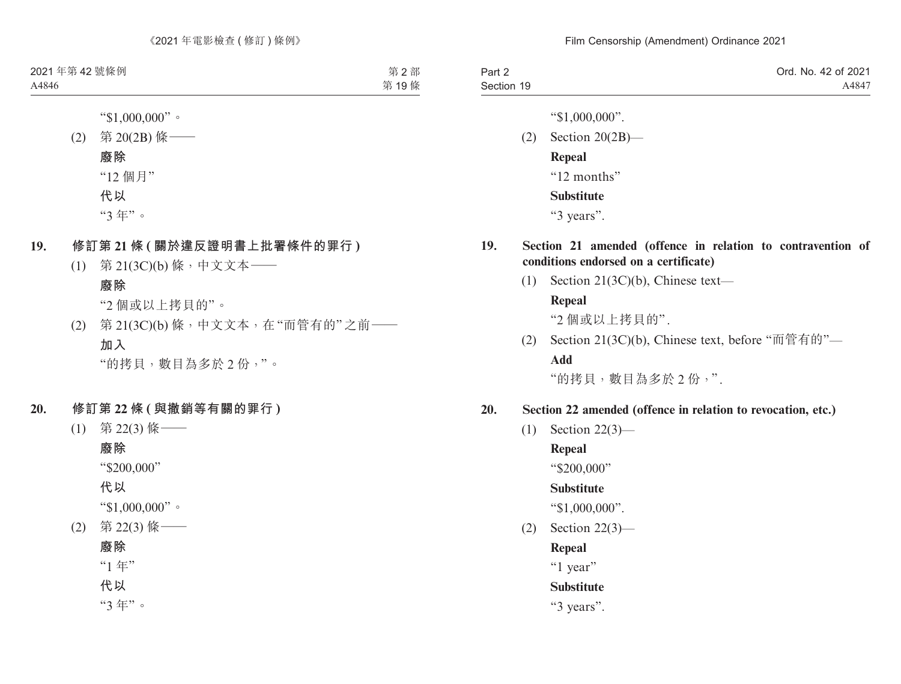| Part 2     | Ord. No. 42 of 2021 |
|------------|---------------------|
| Section 19 | A4847               |

"\$1,000,000".

(2) Section 20(2B)— **Repeal** "12 months" **Substitute** "3 years".

### **19. Section 21 amended (offence in relation to contravention of conditions endorsed on a certificate)**

(1) Section 21(3C)(b), Chinese text—

### **Repeal**

"2 個或以上拷貝的".

(2) Section 21(3C)(b), Chinese text, before "而管有的"— **Add**

"的拷貝,數目為多於 2 份,".

## **20. Section 22 amended (offence in relation to revocation, etc.)**

(1) Section 22(3)—

## **Repeal**

"\$200,000"

## **Substitute**

"\$1,000,000".

(2) Section 22(3)—

## **Repeal**

"1 year"

## **Substitute**

"3 years".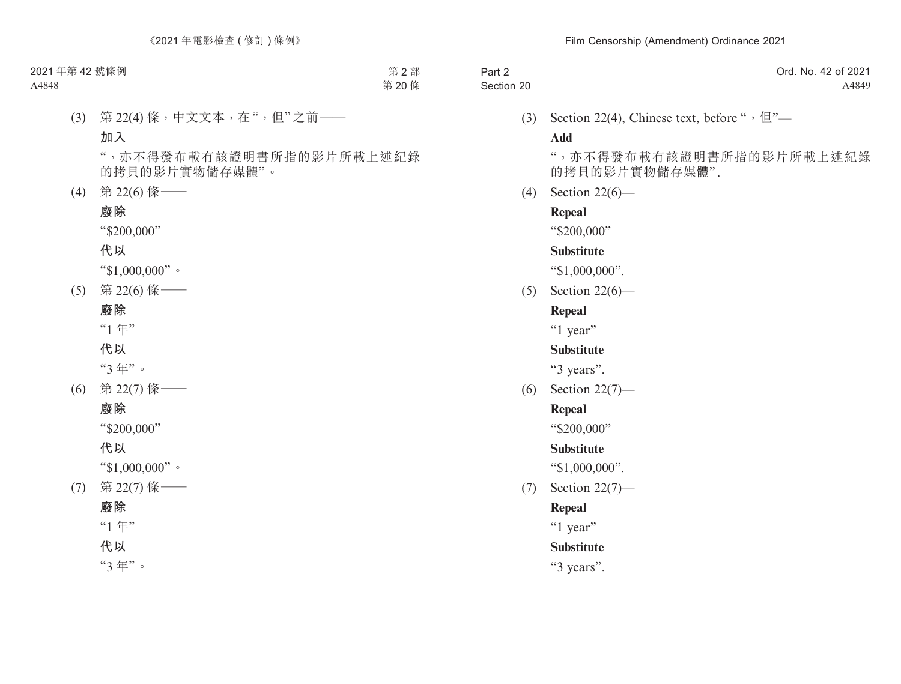| Part 2     | Ord. No. 42 of 2021 |
|------------|---------------------|
| Section 20 | A4849               |

(3) Section 22(4), Chinese text, before " $\cdot$   $\oplus$ "-

#### **Add**

",亦不得發布載有該證明書所指的影片所載上述紀錄 的拷貝的影片實物儲存媒體".

(4) Section 22(6)—

#### **Repeal**

"\$200,000"

#### **Substitute**

"\$1,000,000".

(5) Section 22(6)—

### **Repeal**

"1 year"

### **Substitute**

"3 years".

(6) Section 22(7)—

#### **Repeal**

"\$200,000"

### **Substitute**

"\$1,000,000".

(7) Section 22(7)—

## **Repeal**

"1 year"

### **Substitute**

"3 years".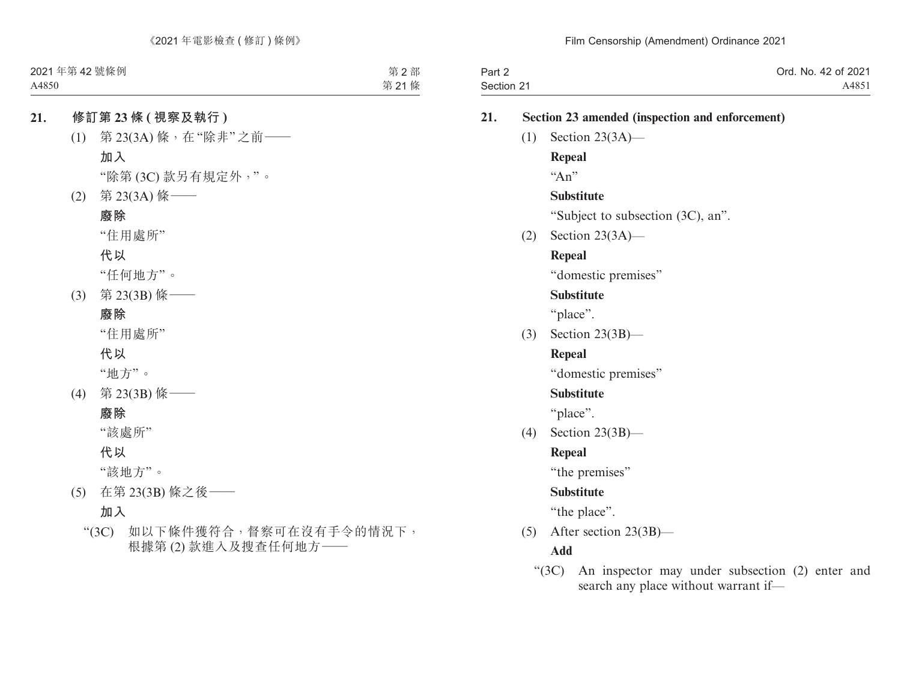| Part 2     | Ord. No. 42 of 2021 |
|------------|---------------------|
| Section 21 | A4851               |

## **21. Section 23 amended (inspection and enforcement)**

(1) Section 23(3A)—

### **Repeal**

 $``\text{An}"$ 

## **Substitute**

"Subject to subsection (3C), an".

(2) Section 23(3A)—

## **Repeal**

"domestic premises"

## **Substitute**

"place".

(3) Section 23(3B)—

## **Repeal**

"domestic premises"

## **Substitute**

"place".

(4) Section 23(3B)—

## **Repeal**

"the premises"

## **Substitute**

"the place".

(5) After section 23(3B)—

## **Add**

"(3C) An inspector may under subsection (2) enter and search any place without warrant if—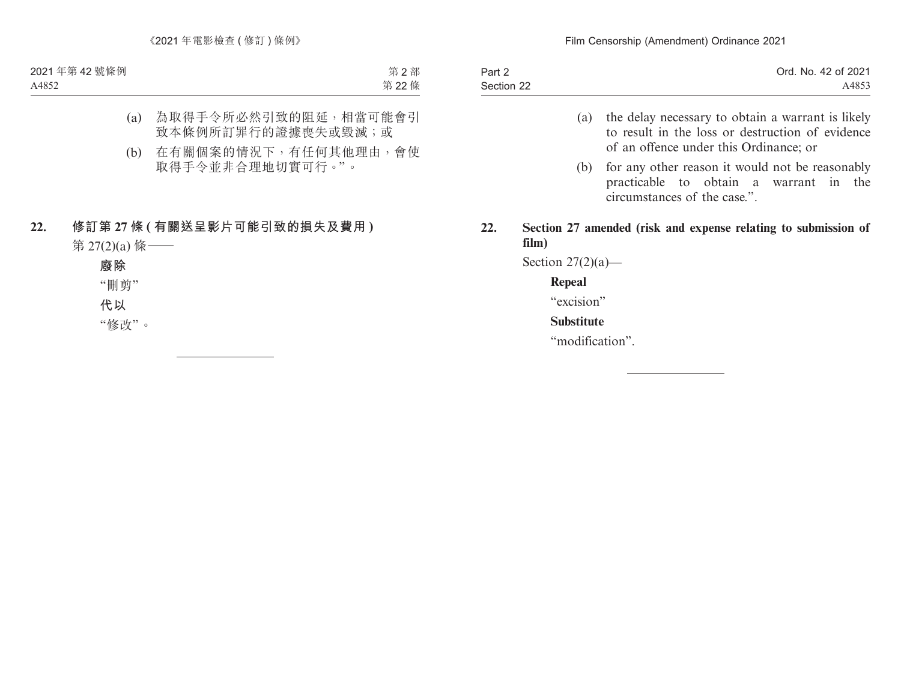| Part 2     | Ord. No. 42 of 2021 |
|------------|---------------------|
| Section 22 | A4853               |

- (a) the delay necessary to obtain a warrant is likely to result in the loss or destruction of evidence of an offence under this Ordinance; or
- (b) for any other reason it would not be reasonably practicable to obtain a warrant in the circumstances of the case.".
- **22. Section 27 amended (risk and expense relating to submission of film)**

Section  $27(2)(a)$ —

#### **Repeal**

"excision"

#### **Substitute**

"modification".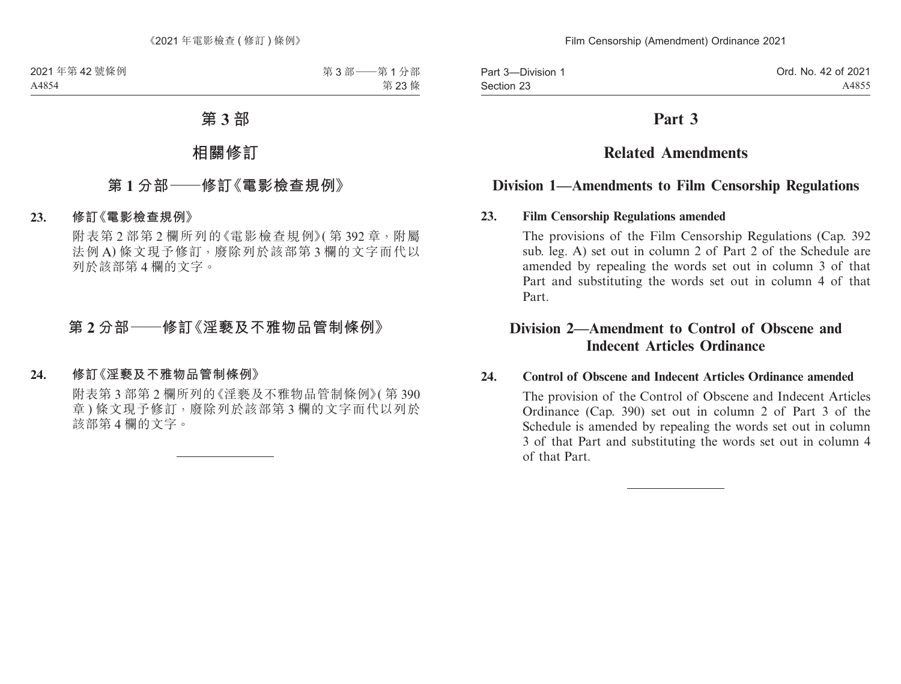Part 3—Division 1 Section 23

## **Part 3**

# **Related Amendments**

## **Division 1—Amendments to Film Censorship Regulations**

#### **23. Film Censorship Regulations amended**

The provisions of the Film Censorship Regulations (Cap. 392 sub. leg. A) set out in column 2 of Part 2 of the Schedule are amended by repealing the words set out in column 3 of that Part and substituting the words set out in column 4 of that Part.

## **Division 2—Amendment to Control of Obscene and Indecent Articles Ordinance**

#### **24. Control of Obscene and Indecent Articles Ordinance amended**

The provision of the Control of Obscene and Indecent Articles Ordinance (Cap. 390) set out in column 2 of Part 3 of the Schedule is amended by repealing the words set out in column 3 of that Part and substituting the words set out in column 4 of that Part.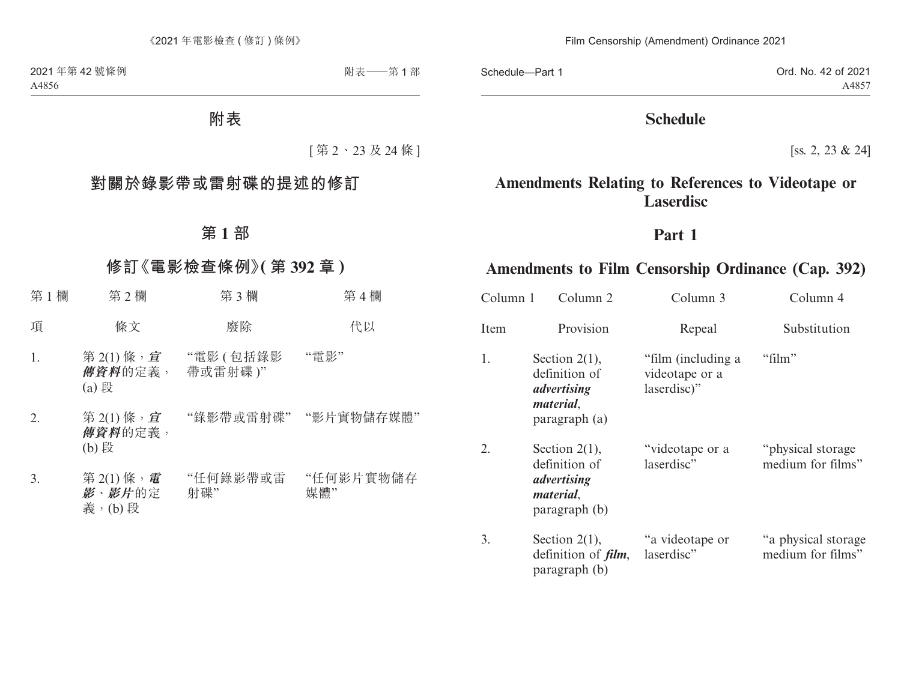Schedule—Part 1

Ord. No. 42 of 2021 A4857

## **Schedule**

[ss. 2, 23 & 24]

# **Amendments Relating to References to Videotape or Laserdisc**

## **Part 1**

# **Amendments to Film Censorship Ordinance (Cap. 392)**

| Column 1 | Column 2                                                                               | Column 3                                            | Column 4                                 |
|----------|----------------------------------------------------------------------------------------|-----------------------------------------------------|------------------------------------------|
| Item     | Provision                                                                              | Repeal                                              | Substitution                             |
| 1.       | Section $2(1)$ ,<br>definition of<br>advertising<br><i>material</i> ,<br>paragraph (a) | "film (including a<br>videotape or a<br>laserdisc)" | "film"                                   |
| 2.       | Section $2(1)$ ,<br>definition of<br>advertising<br><i>material.</i><br>paragraph (b)  | "videotape or a<br>laserdisc"                       | "physical storage"<br>medium for films"  |
| 3.       | Section $2(1)$ ,<br>definition of <i>film</i> ,<br>paragraph (b)                       | "a videotape or<br>laserdisc"                       | "a physical storage<br>medium for films" |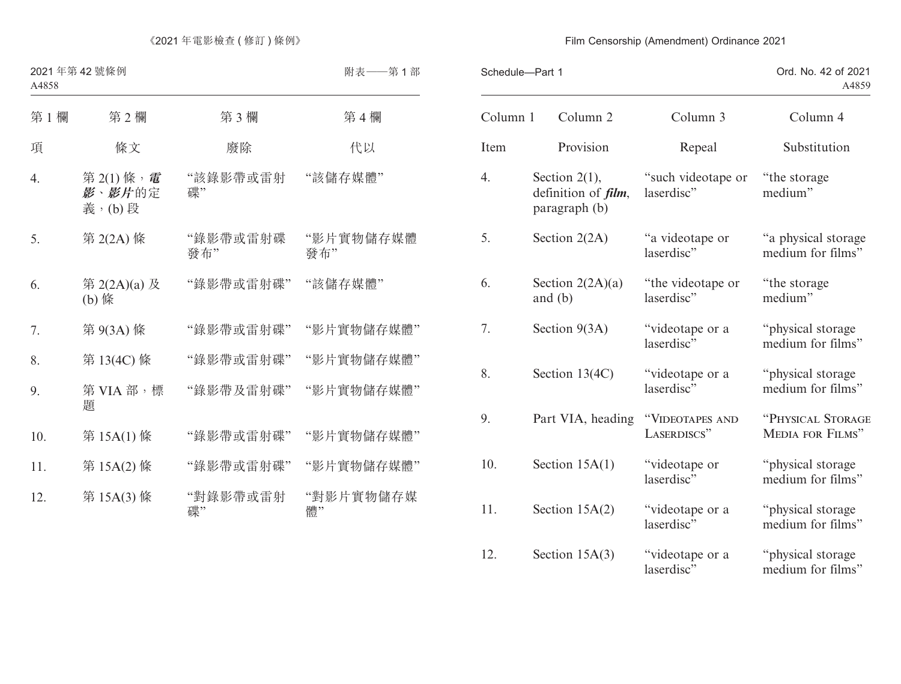| Schedule-Part 1 |                                                                  |                                  | Ord. No. 42 of 2021<br>A4859                 |
|-----------------|------------------------------------------------------------------|----------------------------------|----------------------------------------------|
| Column 1        | Column <sub>2</sub>                                              | Column 3                         | Column 4                                     |
| Item            | Provision                                                        | Repeal                           | Substitution                                 |
| 4.              | Section $2(1)$ ,<br>definition of <i>film</i> ,<br>paragraph (b) | "such videotape or<br>laserdisc" | "the storage"<br>medium"                     |
| 5.              | Section $2(2A)$                                                  | "a videotape or<br>laserdisc"    | "a physical storage<br>medium for films"     |
| 6.              | Section $2(2A)(a)$<br>and $(b)$                                  | "the videotape or<br>laserdisc"  | "the storage"<br>medium"                     |
| 7.              | Section $9(3A)$                                                  | "videotape or a<br>laserdisc"    | "physical storage<br>medium for films"       |
| 8.              | Section 13(4C)                                                   | "videotape or a<br>laserdisc"    | "physical storage<br>medium for films"       |
| 9.              | Part VIA, heading                                                | "VIDEOTAPES AND<br>LASERDISCS"   | "PHYSICAL STORAGE<br><b>MEDIA FOR FILMS"</b> |
| 10.             | Section $15A(1)$                                                 | "videotape or<br>laserdisc"      | "physical storage<br>medium for films"       |
| 11.             | Section $15A(2)$                                                 | "videotape or a<br>laserdisc"    | "physical storage<br>medium for films"       |
| 12.             | Section $15A(3)$                                                 | "videotape or a<br>laserdisc"    | "physical storage<br>medium for films"       |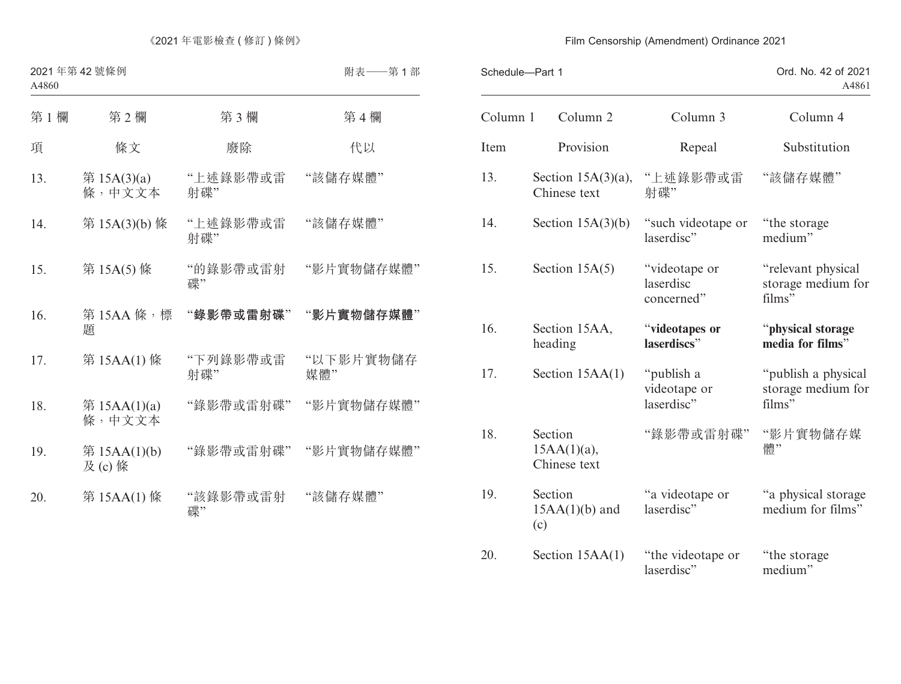| Schedule-Part 1 |                                           |                                          | Ord. No. 42 of 2021<br>A4861                        |  |
|-----------------|-------------------------------------------|------------------------------------------|-----------------------------------------------------|--|
| Column 1        | Column <sub>2</sub>                       | Column 3                                 | Column 4                                            |  |
| Item            | Provision                                 | Repeal                                   | Substitution                                        |  |
| 13.             | Section $15A(3)(a)$ ,<br>Chinese text     | "上述錄影帶或雷<br>射碟"                          | "該儲存媒體"                                             |  |
| 14.             | Section $15A(3)(b)$                       | "such videotape or<br>laserdisc"         | "the storage"<br>medium"                            |  |
| 15.             | Section $15A(5)$                          | "videotape or<br>laserdisc<br>concerned" | "relevant physical<br>storage medium for<br>films"  |  |
| 16.             | Section 15AA,<br>heading                  | "videotapes or<br>laserdiscs"            | "physical storage<br>media for films"               |  |
| 17.             | Section 15AA(1)                           | "publish a<br>videotape or<br>laserdisc" | "publish a physical<br>storage medium for<br>films" |  |
| 18.             | Section<br>$15AA(1)(a)$ ,<br>Chinese text | "錄影帶或雷射碟"                                | "影片實物儲存媒<br>體"                                      |  |
| 19.             | Section<br>$15AA(1)(b)$ and<br>(c)        | "a videotape or<br>laserdisc"            | "a physical storage<br>medium for films"            |  |
| 20.             | Section $15AA(1)$                         | "the videotape or<br>laserdisc"          | "the storage"<br>medium"                            |  |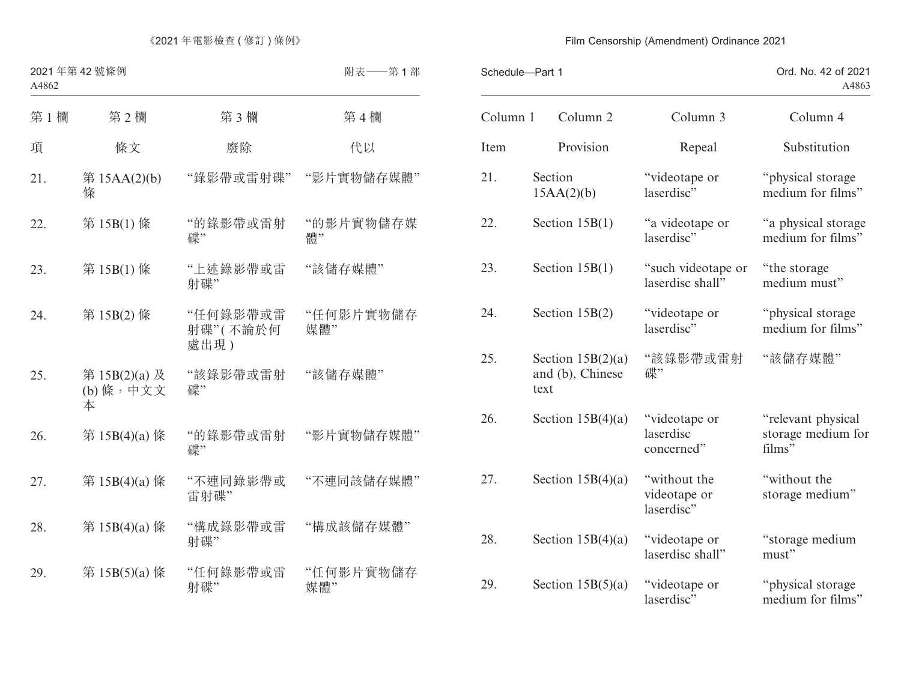| Schedule-Part 1 |      |                                         |                                            | Ord. No. 42 of 2021<br>A4863                       |
|-----------------|------|-----------------------------------------|--------------------------------------------|----------------------------------------------------|
| Column 1        |      | Column <sub>2</sub>                     | Column 3                                   | Column 4                                           |
| Item            |      | Provision                               | Repeal                                     | Substitution                                       |
| 21.             |      | Section<br>15AA(2)(b)                   | "videotape or<br>laserdisc"                | "physical storage<br>medium for films"             |
| 22.             |      | Section $15B(1)$                        | "a videotape or<br>laserdisc"              | "a physical storage<br>medium for films"           |
| 23.             |      | Section $15B(1)$                        | "such videotape or<br>laserdisc shall"     | "the storage"<br>medium must"                      |
| 24.             |      | Section $15B(2)$                        | "videotape or<br>laserdisc"                | "physical storage<br>medium for films"             |
| 25.             | text | Section $15B(2)(a)$<br>and (b), Chinese | "該錄影帶或雷射<br>碟"                             | "該儲存媒體"                                            |
| 26.             |      | Section $15B(4)(a)$                     | "videotape or<br>laserdisc<br>concerned"   | "relevant physical<br>storage medium for<br>films" |
| 27.             |      | Section $15B(4)(a)$                     | "without the<br>videotape or<br>laserdisc" | "without the<br>storage medium"                    |
| 28.             |      | Section $15B(4)(a)$                     | "videotape or<br>laserdisc shall"          | "storage medium<br>must"                           |
| 29.             |      | Section $15B(5)(a)$                     | "videotape or<br>laserdisc"                | "physical storage<br>medium for films"             |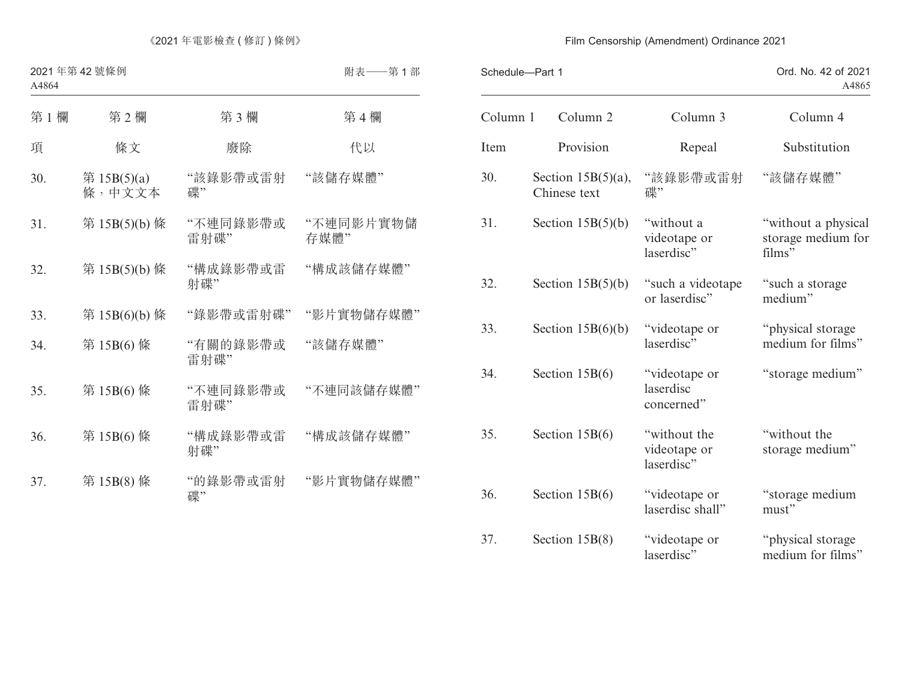| Schedule-Part 1 |                                       |                                            | Ord. No. 42 of 2021<br>A4865                        |  |
|-----------------|---------------------------------------|--------------------------------------------|-----------------------------------------------------|--|
| Column 1        | Column <sub>2</sub>                   | Column 3                                   | Column 4                                            |  |
| Item            | Provision                             | Repeal                                     | Substitution                                        |  |
| 30.             | Section $15B(5)(a)$ ,<br>Chinese text | "該錄影帶或雷射<br>碟"                             | "該儲存媒體"                                             |  |
| 31.             | Section $15B(5)(b)$                   | "without a<br>videotape or<br>laserdisc"   | "without a physical<br>storage medium for<br>films" |  |
| 32.             | Section $15B(5)(b)$                   | "such a videotape<br>or laserdisc"         | "such a storage<br>medium"                          |  |
| 33.             | Section $15B(6)(b)$                   | "videotape or<br>laserdisc"                | "physical storage<br>medium for films"              |  |
| 34.             | Section $15B(6)$                      | "videotape or<br>laserdisc<br>concerned"   | "storage medium"                                    |  |
| 35.             | Section $15B(6)$                      | "without the<br>videotape or<br>laserdisc" | "without the<br>storage medium"                     |  |
| 36.             | Section $15B(6)$                      | "videotape or<br>laserdisc shall"          | "storage medium<br>must"                            |  |
| 37.             | Section $15B(8)$                      | "videotape or<br>laserdisc"                | "physical storage<br>medium for films"              |  |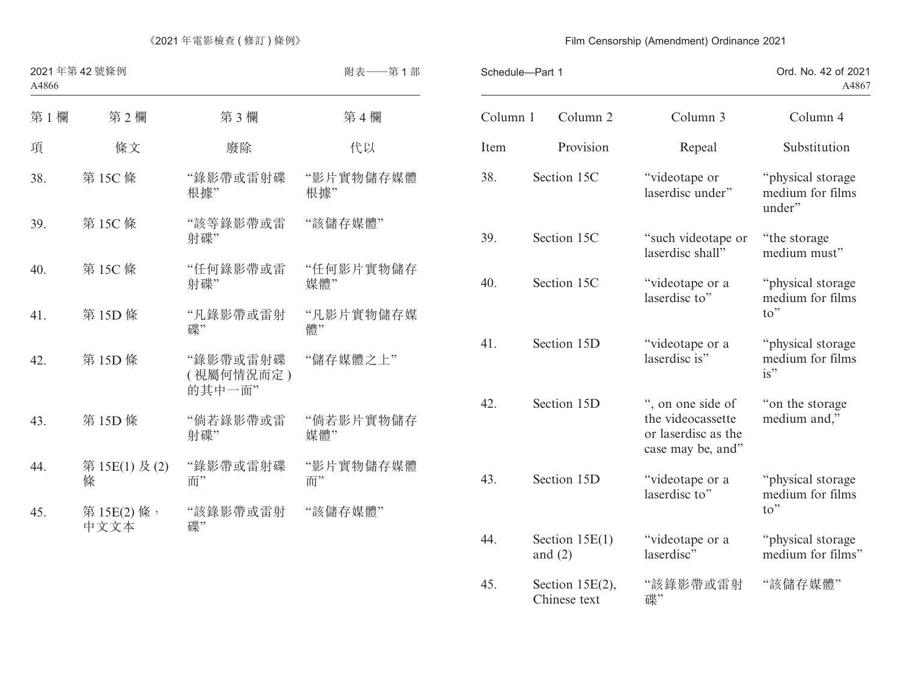| Schedule-Part 1 |                                 | Ord. No. 42 of 2021<br>A4867                                                       |                                                          |
|-----------------|---------------------------------|------------------------------------------------------------------------------------|----------------------------------------------------------|
| Column 1        | Column <sub>2</sub>             | Column 3                                                                           | Column 4                                                 |
| Item            | Provision                       | Repeal                                                                             | Substitution                                             |
| 38.             | Section 15C                     | "videotape or<br>laserdisc under"                                                  | "physical storage<br>medium for films<br>under"          |
| 39.             | Section 15C                     | "such videotape or<br>laserdisc shall"                                             | "the storage"<br>medium must"                            |
| 40.             | Section 15C                     | "videotape or a<br>laserdisc to"                                                   | "physical storage<br>medium for films<br>$\mathsf{to}$ " |
| 41.             | Section 15D                     | "videotape or a<br>laserdisc is"                                                   | "physical storage<br>medium for films<br>is"             |
| 42.             | Section 15D                     | ", on one side of<br>the videocassette<br>or laserdisc as the<br>case may be, and" | "on the storage"<br>medium and,"                         |
| 43.             | Section 15D                     | "videotape or a<br>laserdisc to"                                                   | "physical storage<br>medium for films<br>to"             |
| 44.             | Section $15E(1)$<br>and $(2)$   | "videotape or a<br>laserdisc"                                                      | "physical storage<br>medium for films"                   |
| 45.             | Section 15E(2),<br>Chinese text | "該錄影帶或雷射<br>碟"                                                                     | "該儲存媒體"                                                  |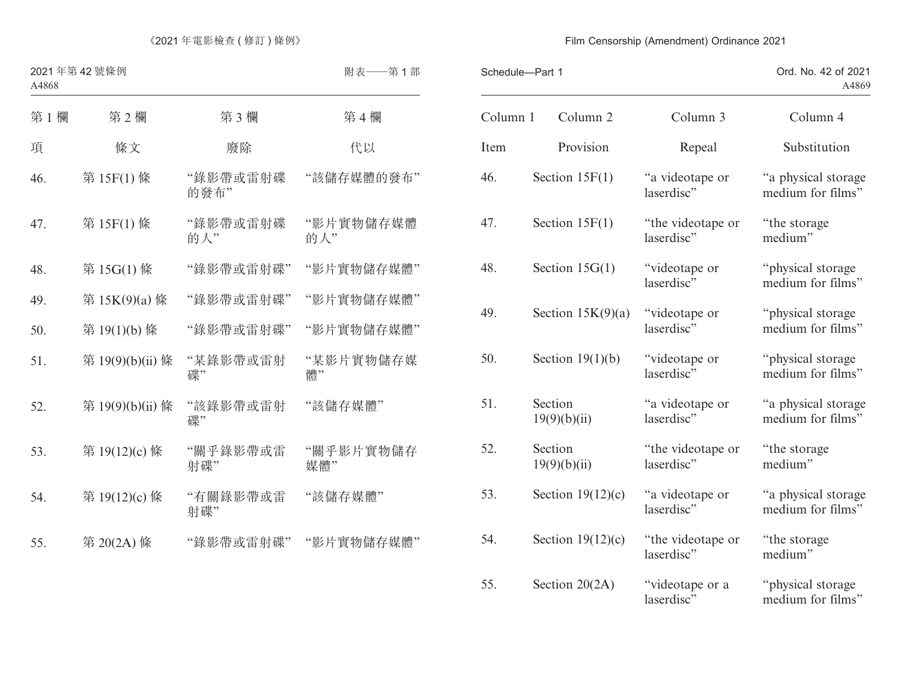|          | Schedule-Part 1         |                                 | Ord. No. 42 of 2021<br>A4869             |
|----------|-------------------------|---------------------------------|------------------------------------------|
| Column 1 | Column 2                | Column 3                        | Column 4                                 |
| Item     | Provision               | Repeal                          | Substitution                             |
| 46.      | Section $15F(1)$        | "a videotape or<br>laserdisc"   | "a physical storage<br>medium for films" |
| 47.      | Section $15F(1)$        | "the videotape or<br>laserdisc" | "the storage"<br>medium"                 |
| 48.      | Section $15G(1)$        | "videotape or<br>laserdisc"     | "physical storage<br>medium for films"   |
| 49.      | Section $15K(9)(a)$     | "videotape or<br>laserdisc"     | "physical storage<br>medium for films"   |
| 50.      | Section $19(1)(b)$      | "videotape or<br>laserdisc"     | "physical storage<br>medium for films"   |
| 51.      | Section<br>19(9)(b)(ii) | "a videotape or<br>laserdisc"   | "a physical storage<br>medium for films" |
| 52.      | Section<br>19(9)(b)(ii) | "the videotape or<br>laserdisc" | "the storage<br>medium"                  |
| 53.      | Section $19(12)(c)$     | "a videotape or<br>laserdisc"   | "a physical storage<br>medium for films" |
| 54.      | Section $19(12)(c)$     | "the videotape or<br>laserdisc" | "the storage"<br>medium"                 |
| 55.      | Section $20(2A)$        | "videotape or a<br>laserdisc"   | "physical storage<br>medium for films"   |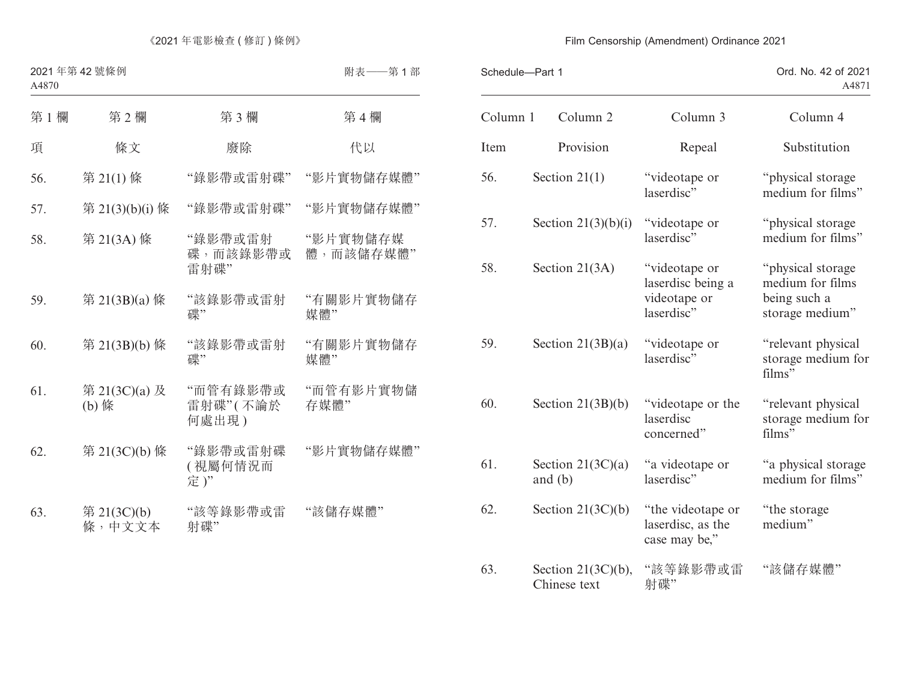|          | Schedule-Part 1                       |                                                                  | Ord. No. 42 of 2021<br>A4871                                             |  |
|----------|---------------------------------------|------------------------------------------------------------------|--------------------------------------------------------------------------|--|
| Column 1 | Column <sub>2</sub>                   | Column 3                                                         | Column 4                                                                 |  |
| Item     | Provision                             | Repeal                                                           | Substitution                                                             |  |
| 56.      | Section $21(1)$                       | "videotape or<br>laserdisc"                                      | "physical storage<br>medium for films"                                   |  |
| 57.      | Section $21(3)(b)(i)$                 | "videotape or<br>laserdisc"                                      | "physical storage<br>medium for films"                                   |  |
| 58.      | Section $21(3A)$                      | "videotape or<br>laserdisc being a<br>videotape or<br>laserdisc" | "physical storage<br>medium for films<br>being such a<br>storage medium" |  |
| 59.      | Section $21(3B)(a)$                   | "videotape or<br>laserdisc"                                      | "relevant physical<br>storage medium for<br>films"                       |  |
| 60.      | Section $21(3B)(b)$                   | "videotape or the<br>laserdisc<br>concerned"                     | "relevant physical<br>storage medium for<br>films"                       |  |
| 61.      | Section $21(3C)(a)$<br>and $(b)$      | "a videotape or<br>laserdisc"                                    | "a physical storage<br>medium for films"                                 |  |
| 62.      | Section $21(3C)(b)$                   | "the videotape or<br>laserdisc, as the<br>case may be,"          | "the storage"<br>medium"                                                 |  |
| 63.      | Section $21(3C)(b)$ ,<br>Chinese text | "該等錄影帶或雷<br>射碟"                                                  | "該儲存媒體"                                                                  |  |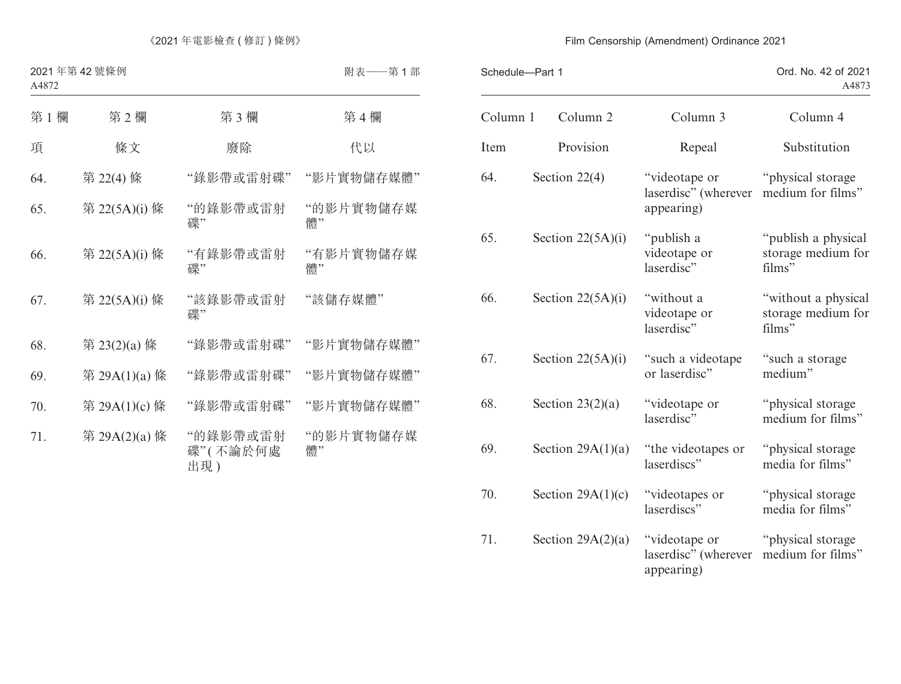| Schedule-Part 1 |                     |                                                     | Ord. No. 42 of 2021<br>A4873                        |
|-----------------|---------------------|-----------------------------------------------------|-----------------------------------------------------|
| Column 1        | Column 2            | Column 3                                            | Column 4                                            |
| Item            | Provision           | Repeal                                              | Substitution                                        |
| 64.             | Section $22(4)$     | "videotape or<br>laserdisc" (wherever<br>appearing) | "physical storage<br>medium for films"              |
| 65.             | Section $22(5A)(i)$ | "publish a<br>videotape or<br>laserdisc"            | "publish a physical<br>storage medium for<br>films" |
| 66.             | Section $22(5A)(i)$ | "without a<br>videotape or<br>laserdisc"            | "without a physical<br>storage medium for<br>films" |
| 67.             | Section $22(5A)(i)$ | "such a videotape<br>or laserdisc"                  | "such a storage"<br>medium"                         |
| 68.             | Section $23(2)(a)$  | "videotape or<br>laserdisc"                         | "physical storage<br>medium for films"              |
| 69.             | Section $29A(1)(a)$ | "the videotapes or<br>laserdiscs"                   | "physical storage<br>media for films"               |
| 70.             | Section $29A(1)(c)$ | "videotapes or<br>laserdiscs"                       | "physical storage<br>media for films"               |
| 71.             | Section $29A(2)(a)$ | "videotape or<br>laserdisc" (wherever<br>appearing) | "physical storage<br>medium for films"              |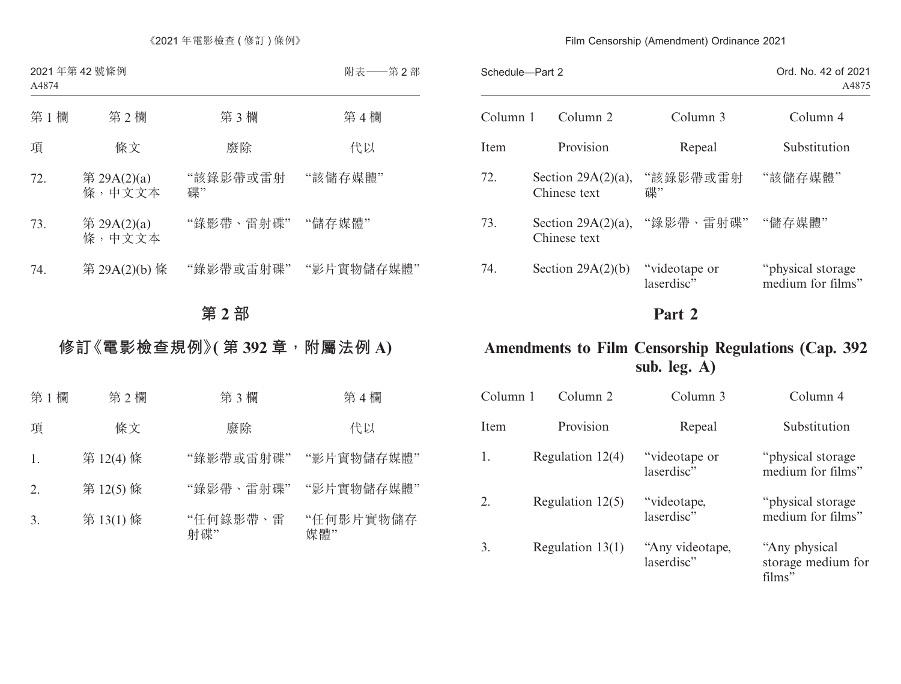| Schedule-Part 2 |                                       |                              | Ord. No. 42 of 2021<br>A4875            |  |
|-----------------|---------------------------------------|------------------------------|-----------------------------------------|--|
| Column 1        | Column 2                              | Column 3                     | Column 4                                |  |
| Item            | Provision                             | Repeal                       | Substitution                            |  |
| 72.             | Section $29A(2)(a)$ ,<br>Chinese text | "該錄影帶或雷射<br>碟"               | "該儲存媒體"                                 |  |
| 73.             | Chinese text                          | Section 29A(2)(a), "錄影帶、雷射碟" | "儲存媒體"                                  |  |
| 74.             | Section $29A(2)(b)$                   | "videotape or<br>laserdisc"  | "physical storage"<br>medium for films" |  |

# **Part 2**

# **Amendments to Film Censorship Regulations (Cap. 392 sub. leg. A)**

| Column 1 | Column 2           | Column 3                      | Column 4                                       |
|----------|--------------------|-------------------------------|------------------------------------------------|
| Item     | Provision          | Repeal                        | Substitution                                   |
| 1.       | Regulation $12(4)$ | "videotape or<br>laserdisc"   | "physical storage"<br>medium for films"        |
| 2.       | Regulation $12(5)$ | "videotape,<br>laserdisc"     | "physical storage"<br>medium for films"        |
| 3.       | Regulation $13(1)$ | "Any videotape,<br>laserdisc" | "Any physical"<br>storage medium for<br>films" |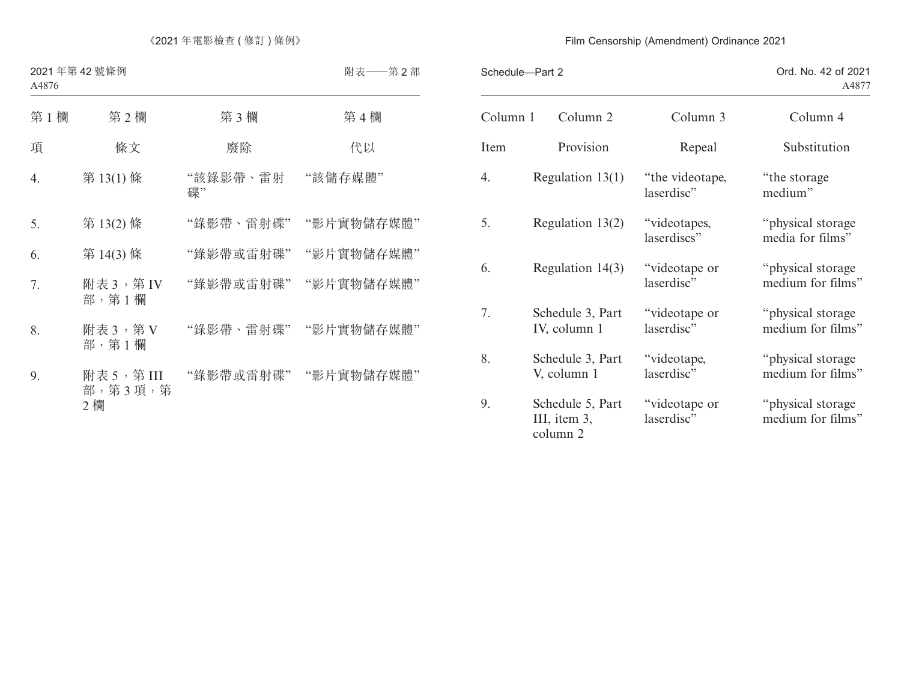| Schedule-Part 2                              |                               | Ord. No. 42 of 2021<br>A4877           |
|----------------------------------------------|-------------------------------|----------------------------------------|
| Column <sub>2</sub>                          | Column 3                      | Column 4                               |
| Provision                                    | Repeal                        | Substitution                           |
| Regulation $13(1)$                           | "the videotape,<br>laserdisc" | "the storage"<br>medium"               |
| Regulation $13(2)$                           | "videotapes,<br>laserdiscs"   | "physical storage<br>media for films"  |
| Regulation $14(3)$                           | "videotape or<br>laserdisc"   | "physical storage<br>medium for films" |
| Schedule 3, Part<br>IV, column 1             | "videotape or<br>laserdisc"   | "physical storage<br>medium for films" |
| Schedule 3, Part<br>V, column 1              | "videotape,<br>laserdisc"     | "physical storage<br>medium for films" |
| Schedule 5, Part<br>III, item 3,<br>column 2 | "videotape or<br>laserdisc"   | "physical storage<br>medium for films" |
|                                              |                               |                                        |